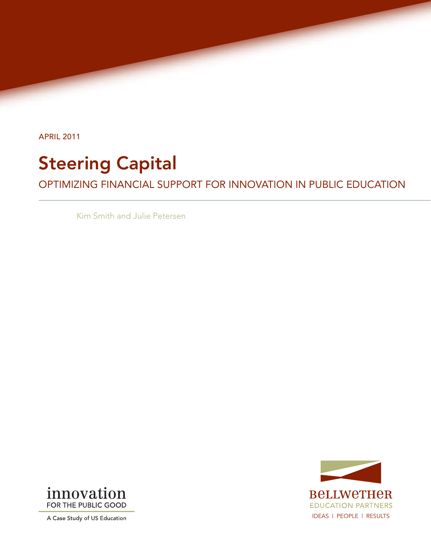April 2011

## Steering Capital

Optimizing Financial Support for Innovation in Public Education

Kim Smith and Julie Petersen





A Case Study of US Education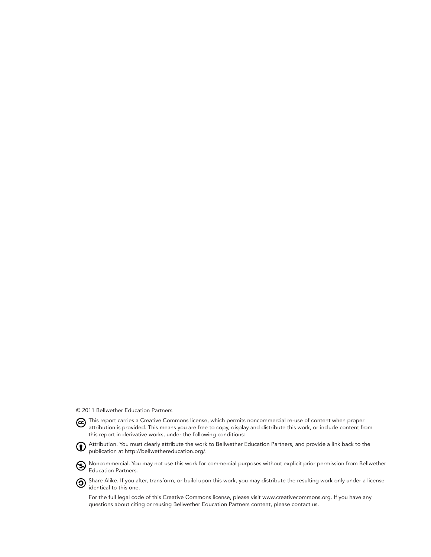© 2011 Bellwether Education Partners



Attribution. You must clearly attribute the work to Bellwether Education Partners, and provide a link back to the publication at http://bellwethereducation.org/.

**W** Noncommercial. You may not use this work for commercial purposes without explicit prior permission from Bellwether Education Partners.

**O** Share Alike. If you alter, transform, or build upon this work, you may distribute the resulting work only under a license identical to this one.

For the full legal code of this Creative Commons license, please visit www.creativecommons.org. If you have any questions about citing or reusing Bellwether Education Partners content, please contact us.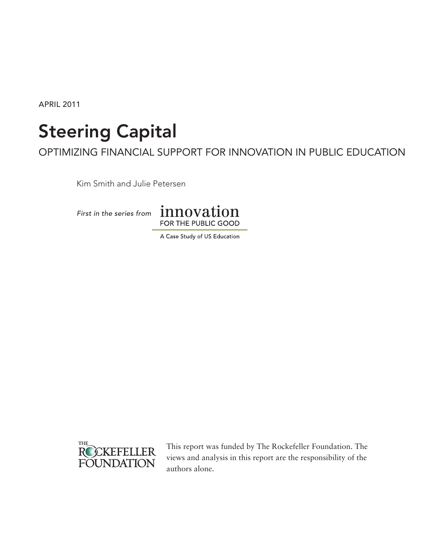April 2011

# Steering Capital

Optimizing Financial Support for Innovation in Public Education

Kim Smith and Julie Petersen



A Case Study of US Education



This report was funded by The Rockefeller Foundation. The views and analysis in this report are the responsibility of the authors alone.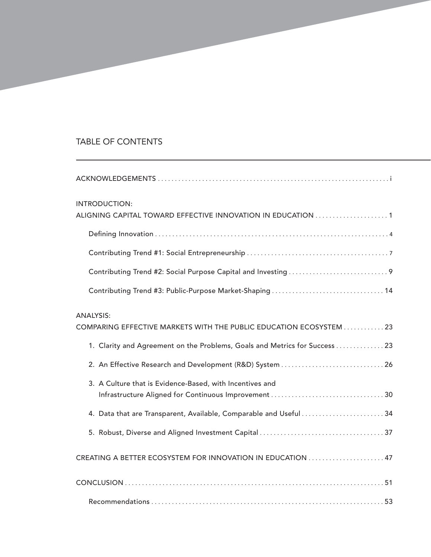## Table of Contents

| INTRODUCTION:<br>ALIGNING CAPITAL TOWARD EFFECTIVE INNOVATION IN EDUCATION 1           |
|----------------------------------------------------------------------------------------|
|                                                                                        |
|                                                                                        |
|                                                                                        |
|                                                                                        |
| <b>ANALYSIS:</b><br>COMPARING EFFECTIVE MARKETS WITH THE PUBLIC EDUCATION ECOSYSTEM 23 |
| 1. Clarity and Agreement on the Problems, Goals and Metrics for Success  23            |
|                                                                                        |
| 3. A Culture that is Evidence-Based, with Incentives and                               |
| 4. Data that are Transparent, Available, Comparable and Useful34                       |
|                                                                                        |
|                                                                                        |
|                                                                                        |
|                                                                                        |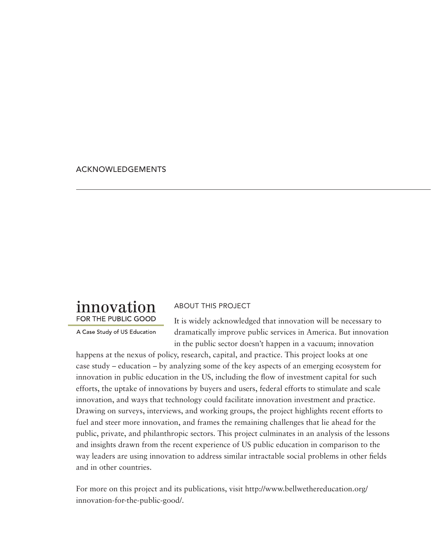## Acknowledgements

## innovation FOR THE PUBLIC GOOD

A Case Study of US Education

## About this PROJECT

It is widely acknowledged that innovation will be necessary to dramatically improve public services in America. But innovation in the public sector doesn't happen in a vacuum; innovation

happens at the nexus of policy, research, capital, and practice. This project looks at one case study – education – by analyzing some of the key aspects of an emerging ecosystem for innovation in public education in the US, including the flow of investment capital for such efforts, the uptake of innovations by buyers and users, federal efforts to stimulate and scale innovation, and ways that technology could facilitate innovation investment and practice. Drawing on surveys, interviews, and working groups, the project highlights recent efforts to fuel and steer more innovation, and frames the remaining challenges that lie ahead for the public, private, and philanthropic sectors. This project culminates in an analysis of the lessons and insights drawn from the recent experience of US public education in comparison to the way leaders are using innovation to address similar intractable social problems in other fields and in other countries.

For more on this project and its publications, visit http://www.bellwethereducation.org/ innovation-for-the-public-good/.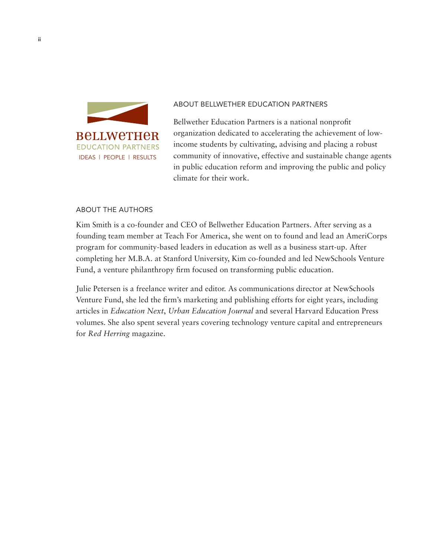

#### About Bellwether Education Partners

Bellwether Education Partners is a national nonprofit organization dedicated to accelerating the achievement of lowincome students by cultivating, advising and placing a robust community of innovative, effective and sustainable change agents in public education reform and improving the public and policy climate for their work.

## About the Authors

Kim Smith is a co-founder and CEO of Bellwether Education Partners. After serving as a founding team member at Teach For America, she went on to found and lead an AmeriCorps program for community-based leaders in education as well as a business start-up. After completing her M.B.A. at Stanford University, Kim co-founded and led NewSchools Venture Fund, a venture philanthropy firm focused on transforming public education.

Julie Petersen is a freelance writer and editor. As communications director at NewSchools Venture Fund, she led the firm's marketing and publishing efforts for eight years, including articles in *Education Next*, *Urban Education Journal* and several Harvard Education Press volumes. She also spent several years covering technology venture capital and entrepreneurs for *Red Herring* magazine.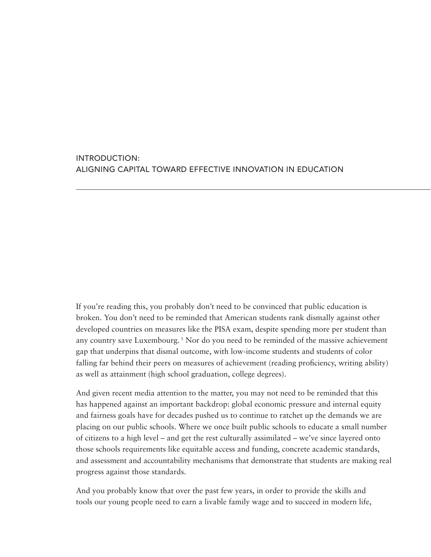## Introduction: Aligning Capital Toward Effective Innovation in Education

If you're reading this, you probably don't need to be convinced that public education is broken. You don't need to be reminded that American students rank dismally against other developed countries on measures like the PISA exam, despite spending more per student than any country save Luxembourg.<sup>1</sup> Nor do you need to be reminded of the massive achievement gap that underpins that dismal outcome, with low-income students and students of color falling far behind their peers on measures of achievement (reading proficiency, writing ability) as well as attainment (high school graduation, college degrees).

And given recent media attention to the matter, you may not need to be reminded that this has happened against an important backdrop: global economic pressure and internal equity and fairness goals have for decades pushed us to continue to ratchet up the demands we are placing on our public schools. Where we once built public schools to educate a small number of citizens to a high level – and get the rest culturally assimilated – we've since layered onto those schools requirements like equitable access and funding, concrete academic standards, and assessment and accountability mechanisms that demonstrate that students are making real progress against those standards.

And you probably know that over the past few years, in order to provide the skills and tools our young people need to earn a livable family wage and to succeed in modern life,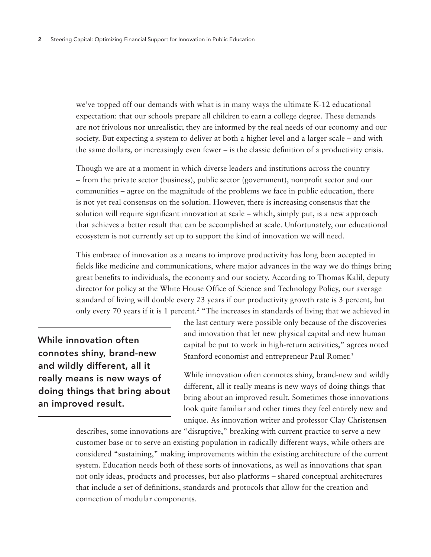we've topped off our demands with what is in many ways the ultimate K-12 educational expectation: that our schools prepare all children to earn a college degree. These demands are not frivolous nor unrealistic; they are informed by the real needs of our economy and our society. But expecting a system to deliver at both a higher level and a larger scale – and with the same dollars, or increasingly even fewer – is the classic definition of a productivity crisis.

Though we are at a moment in which diverse leaders and institutions across the country – from the private sector (business), public sector (government), nonprofit sector and our communities – agree on the magnitude of the problems we face in public education, there is not yet real consensus on the solution. However, there is increasing consensus that the solution will require significant innovation at scale – which, simply put, is a new approach that achieves a better result that can be accomplished at scale. Unfortunately, our educational ecosystem is not currently set up to support the kind of innovation we will need.

This embrace of innovation as a means to improve productivity has long been accepted in fields like medicine and communications, where major advances in the way we do things bring great benefits to individuals, the economy and our society. According to Thomas Kalil, deputy director for policy at the White House Office of Science and Technology Policy, our average standard of living will double every 23 years if our productivity growth rate is 3 percent, but only every 70 years if it is 1 percent.<sup>2</sup> "The increases in standards of living that we achieved in

While innovation often connotes shiny, brand-new and wildly different, all it really means is new ways of doing things that bring about an improved result.

the last century were possible only because of the discoveries and innovation that let new physical capital and new human capital be put to work in high-return activities," agrees noted Stanford economist and entrepreneur Paul Romer.<sup>3</sup>

While innovation often connotes shiny, brand-new and wildly different, all it really means is new ways of doing things that bring about an improved result. Sometimes those innovations look quite familiar and other times they feel entirely new and unique. As innovation writer and professor Clay Christensen

describes, some innovations are "disruptive," breaking with current practice to serve a new customer base or to serve an existing population in radically different ways, while others are considered "sustaining," making improvements within the existing architecture of the current system. Education needs both of these sorts of innovations, as well as innovations that span not only ideas, products and processes, but also platforms – shared conceptual architectures that include a set of definitions, standards and protocols that allow for the creation and connection of modular components.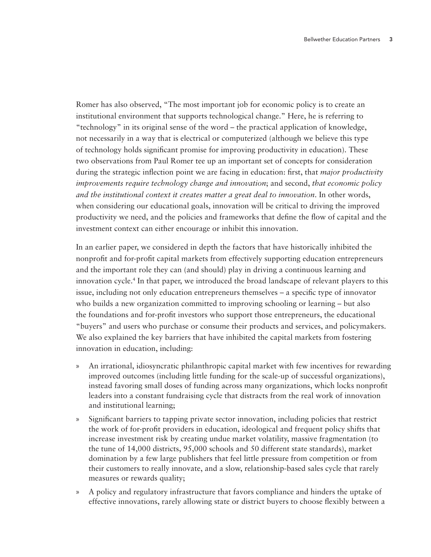Romer has also observed, "The most important job for economic policy is to create an institutional environment that supports technological change." Here, he is referring to "technology" in its original sense of the word – the practical application of knowledge, not necessarily in a way that is electrical or computerized (although we believe this type of technology holds significant promise for improving productivity in education). These two observations from Paul Romer tee up an important set of concepts for consideration during the strategic inflection point we are facing in education: first, that *major productivity improvements require technology change and innovation*; and second, *that economic policy and the institutional context it creates matter a great deal to innovation*. In other words, when considering our educational goals, innovation will be critical to driving the improved productivity we need, and the policies and frameworks that define the flow of capital and the investment context can either encourage or inhibit this innovation.

In an earlier paper, we considered in depth the factors that have historically inhibited the nonprofit and for-profit capital markets from effectively supporting education entrepreneurs and the important role they can (and should) play in driving a continuous learning and innovation cycle.4 In that paper, we introduced the broad landscape of relevant players to this issue, including not only education entrepreneurs themselves – a specific type of innovator who builds a new organization committed to improving schooling or learning – but also the foundations and for-profit investors who support those entrepreneurs, the educational "buyers" and users who purchase or consume their products and services, and policymakers. We also explained the key barriers that have inhibited the capital markets from fostering innovation in education, including:

- » An irrational, idiosyncratic philanthropic capital market with few incentives for rewarding improved outcomes (including little funding for the scale-up of successful organizations), instead favoring small doses of funding across many organizations, which locks nonprofit leaders into a constant fundraising cycle that distracts from the real work of innovation and institutional learning;
- » Significant barriers to tapping private sector innovation, including policies that restrict the work of for-profit providers in education, ideological and frequent policy shifts that increase investment risk by creating undue market volatility, massive fragmentation (to the tune of 14,000 districts, 95,000 schools and 50 different state standards), market domination by a few large publishers that feel little pressure from competition or from their customers to really innovate, and a slow, relationship-based sales cycle that rarely measures or rewards quality;
- » A policy and regulatory infrastructure that favors compliance and hinders the uptake of effective innovations, rarely allowing state or district buyers to choose flexibly between a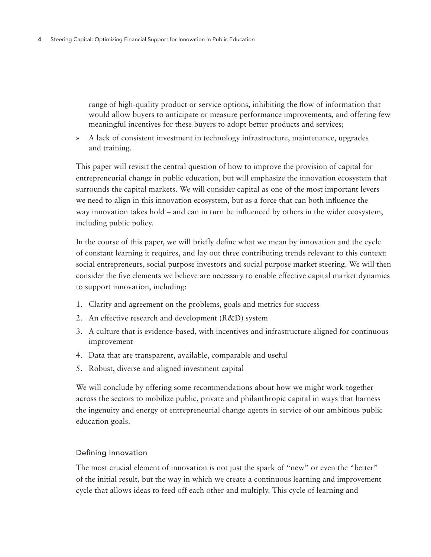range of high-quality product or service options, inhibiting the flow of information that would allow buyers to anticipate or measure performance improvements, and offering few meaningful incentives for these buyers to adopt better products and services;

» A lack of consistent investment in technology infrastructure, maintenance, upgrades and training.

This paper will revisit the central question of how to improve the provision of capital for entrepreneurial change in public education, but will emphasize the innovation ecosystem that surrounds the capital markets. We will consider capital as one of the most important levers we need to align in this innovation ecosystem, but as a force that can both influence the way innovation takes hold – and can in turn be influenced by others in the wider ecosystem, including public policy.

In the course of this paper, we will briefly define what we mean by innovation and the cycle of constant learning it requires, and lay out three contributing trends relevant to this context: social entrepreneurs, social purpose investors and social purpose market steering. We will then consider the five elements we believe are necessary to enable effective capital market dynamics to support innovation, including:

- 1. Clarity and agreement on the problems, goals and metrics for success
- 2. An effective research and development (R&D) system
- 3. A culture that is evidence-based, with incentives and infrastructure aligned for continuous improvement
- 4. Data that are transparent, available, comparable and useful
- 5. Robust, diverse and aligned investment capital

We will conclude by offering some recommendations about how we might work together across the sectors to mobilize public, private and philanthropic capital in ways that harness the ingenuity and energy of entrepreneurial change agents in service of our ambitious public education goals.

## Defining Innovation

The most crucial element of innovation is not just the spark of "new" or even the "better" of the initial result, but the way in which we create a continuous learning and improvement cycle that allows ideas to feed off each other and multiply. This cycle of learning and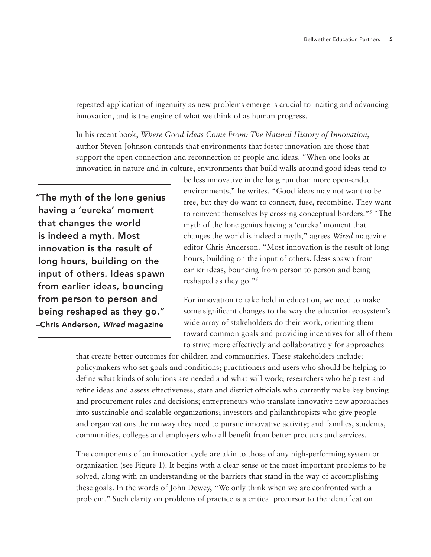repeated application of ingenuity as new problems emerge is crucial to inciting and advancing innovation, and is the engine of what we think of as human progress.

In his recent book, *Where Good Ideas Come From: The Natural History of Innovation*, author Steven Johnson contends that environments that foster innovation are those that support the open connection and reconnection of people and ideas. "When one looks at innovation in nature and in culture, environments that build walls around good ideas tend to

"The myth of the lone genius having a 'eureka' moment that changes the world is indeed a myth. Most innovation is the result of long hours, building on the input of others. Ideas spawn from earlier ideas, bouncing from person to person and being reshaped as they go." –Chris Anderson, *Wired* magazine

be less innovative in the long run than more open-ended environments," he writes. "Good ideas may not want to be free, but they do want to connect, fuse, recombine. They want to reinvent themselves by crossing conceptual borders."5 "The myth of the lone genius having a 'eureka' moment that changes the world is indeed a myth," agrees *Wired* magazine editor Chris Anderson. "Most innovation is the result of long hours, building on the input of others. Ideas spawn from earlier ideas, bouncing from person to person and being reshaped as they go."6

For innovation to take hold in education, we need to make some significant changes to the way the education ecosystem's wide array of stakeholders do their work, orienting them toward common goals and providing incentives for all of them to strive more effectively and collaboratively for approaches

that create better outcomes for children and communities. These stakeholders include: policymakers who set goals and conditions; practitioners and users who should be helping to define what kinds of solutions are needed and what will work; researchers who help test and refine ideas and assess effectiveness; state and district officials who currently make key buying and procurement rules and decisions; entrepreneurs who translate innovative new approaches into sustainable and scalable organizations; investors and philanthropists who give people and organizations the runway they need to pursue innovative activity; and families, students, communities, colleges and employers who all benefit from better products and services.

The components of an innovation cycle are akin to those of any high-performing system or organization (see Figure 1). It begins with a clear sense of the most important problems to be solved, along with an understanding of the barriers that stand in the way of accomplishing these goals. In the words of John Dewey, "We only think when we are confronted with a problem." Such clarity on problems of practice is a critical precursor to the identification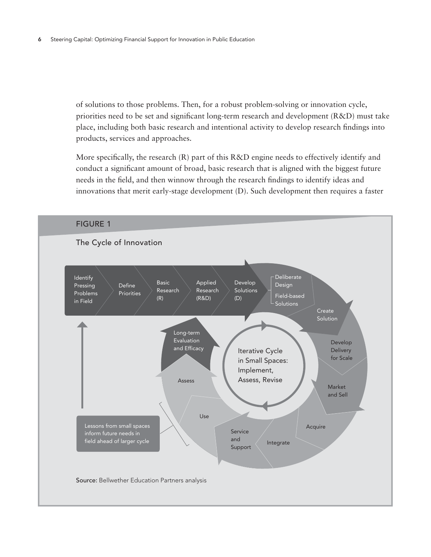of solutions to those problems. Then, for a robust problem-solving or innovation cycle, priorities need to be set and significant long-term research and development (R&D) must take place, including both basic research and intentional activity to develop research findings into products, services and approaches.

More specifically, the research (R) part of this R&D engine needs to effectively identify and conduct a significant amount of broad, basic research that is aligned with the biggest future needs in the field, and then winnow through the research findings to identify ideas and innovations that merit early-stage development (D). Such development then requires a faster

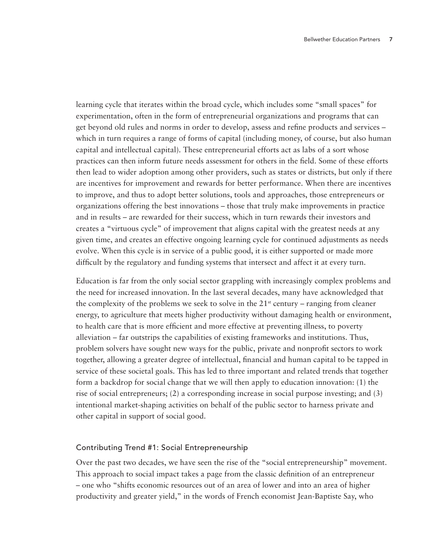learning cycle that iterates within the broad cycle, which includes some "small spaces" for experimentation, often in the form of entrepreneurial organizations and programs that can get beyond old rules and norms in order to develop, assess and refine products and services – which in turn requires a range of forms of capital (including money, of course, but also human capital and intellectual capital). These entrepreneurial efforts act as labs of a sort whose practices can then inform future needs assessment for others in the field. Some of these efforts then lead to wider adoption among other providers, such as states or districts, but only if there are incentives for improvement and rewards for better performance. When there are incentives to improve, and thus to adopt better solutions, tools and approaches, those entrepreneurs or organizations offering the best innovations – those that truly make improvements in practice and in results – are rewarded for their success, which in turn rewards their investors and creates a "virtuous cycle" of improvement that aligns capital with the greatest needs at any given time, and creates an effective ongoing learning cycle for continued adjustments as needs evolve. When this cycle is in service of a public good, it is either supported or made more difficult by the regulatory and funding systems that intersect and affect it at every turn.

Education is far from the only social sector grappling with increasingly complex problems and the need for increased innovation. In the last several decades, many have acknowledged that the complexity of the problems we seek to solve in the  $21<sup>st</sup>$  century – ranging from cleaner energy, to agriculture that meets higher productivity without damaging health or environment, to health care that is more efficient and more effective at preventing illness, to poverty alleviation – far outstrips the capabilities of existing frameworks and institutions. Thus, problem solvers have sought new ways for the public, private and nonprofit sectors to work together, allowing a greater degree of intellectual, financial and human capital to be tapped in service of these societal goals. This has led to three important and related trends that together form a backdrop for social change that we will then apply to education innovation: (1) the rise of social entrepreneurs; (2) a corresponding increase in social purpose investing; and (3) intentional market-shaping activities on behalf of the public sector to harness private and other capital in support of social good.

#### Contributing Trend #1: Social Entrepreneurship

Over the past two decades, we have seen the rise of the "social entrepreneurship" movement. This approach to social impact takes a page from the classic definition of an entrepreneur – one who "shifts economic resources out of an area of lower and into an area of higher productivity and greater yield," in the words of French economist Jean-Baptiste Say, who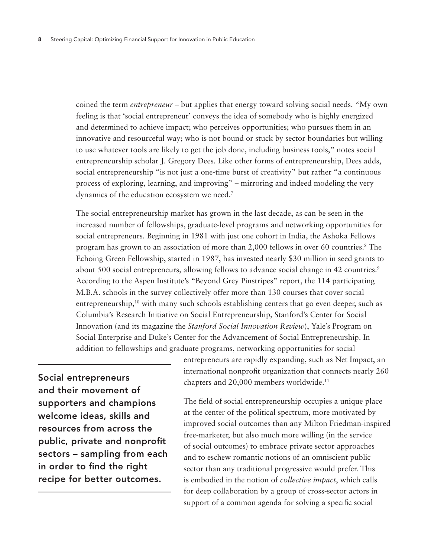coined the term *entrepreneur* – but applies that energy toward solving social needs. "My own feeling is that 'social entrepreneur' conveys the idea of somebody who is highly energized and determined to achieve impact; who perceives opportunities; who pursues them in an innovative and resourceful way; who is not bound or stuck by sector boundaries but willing to use whatever tools are likely to get the job done, including business tools," notes social entrepreneurship scholar J. Gregory Dees. Like other forms of entrepreneurship, Dees adds, social entrepreneurship "is not just a one-time burst of creativity" but rather "a continuous process of exploring, learning, and improving" – mirroring and indeed modeling the very dynamics of the education ecosystem we need.<sup>7</sup>

The social entrepreneurship market has grown in the last decade, as can be seen in the increased number of fellowships, graduate-level programs and networking opportunities for social entrepreneurs. Beginning in 1981 with just one cohort in India, the Ashoka Fellows program has grown to an association of more than 2,000 fellows in over 60 countries.8 The Echoing Green Fellowship, started in 1987, has invested nearly \$30 million in seed grants to about 500 social entrepreneurs, allowing fellows to advance social change in 42 countries.<sup>9</sup> According to the Aspen Institute's "Beyond Grey Pinstripes" report, the 114 participating M.B.A. schools in the survey collectively offer more than 130 courses that cover social entrepreneurship,<sup>10</sup> with many such schools establishing centers that go even deeper, such as Columbia's Research Initiative on Social Entrepreneurship, Stanford's Center for Social Innovation (and its magazine the *Stanford Social Innovation Review*), Yale's Program on Social Enterprise and Duke's Center for the Advancement of Social Entrepreneurship. In addition to fellowships and graduate programs, networking opportunities for social

Social entrepreneurs and their movement of supporters and champions welcome ideas, skills and resources from across the public, private and nonprofit sectors – sampling from each in order to find the right recipe for better outcomes.

entrepreneurs are rapidly expanding, such as Net Impact, an international nonprofit organization that connects nearly 260 chapters and 20,000 members worldwide.<sup>11</sup>

The field of social entrepreneurship occupies a unique place at the center of the political spectrum, more motivated by improved social outcomes than any Milton Friedman-inspired free-marketer, but also much more willing (in the service of social outcomes) to embrace private sector approaches and to eschew romantic notions of an omniscient public sector than any traditional progressive would prefer. This is embodied in the notion of *collective impact*, which calls for deep collaboration by a group of cross-sector actors in support of a common agenda for solving a specific social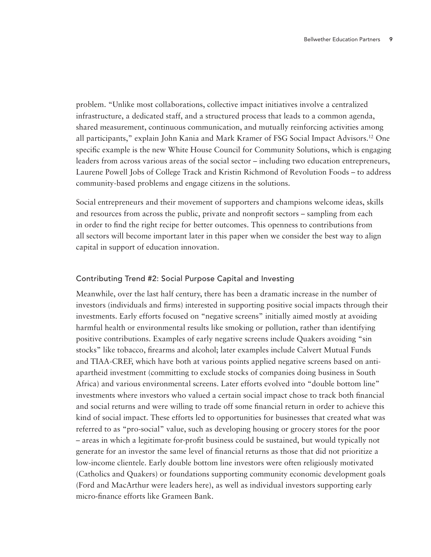problem. "Unlike most collaborations, collective impact initiatives involve a centralized infrastructure, a dedicated staff, and a structured process that leads to a common agenda, shared measurement, continuous communication, and mutually reinforcing activities among all participants," explain John Kania and Mark Kramer of FSG Social Impact Advisors.12 One specific example is the new White House Council for Community Solutions, which is engaging leaders from across various areas of the social sector – including two education entrepreneurs, Laurene Powell Jobs of College Track and Kristin Richmond of Revolution Foods – to address community-based problems and engage citizens in the solutions.

Social entrepreneurs and their movement of supporters and champions welcome ideas, skills and resources from across the public, private and nonprofit sectors – sampling from each in order to find the right recipe for better outcomes. This openness to contributions from all sectors will become important later in this paper when we consider the best way to align capital in support of education innovation.

## Contributing Trend #2: Social Purpose Capital and Investing

Meanwhile, over the last half century, there has been a dramatic increase in the number of investors (individuals and firms) interested in supporting positive social impacts through their investments. Early efforts focused on "negative screens" initially aimed mostly at avoiding harmful health or environmental results like smoking or pollution, rather than identifying positive contributions. Examples of early negative screens include Quakers avoiding "sin stocks" like tobacco, firearms and alcohol; later examples include Calvert Mutual Funds and TIAA-CREF, which have both at various points applied negative screens based on antiapartheid investment (committing to exclude stocks of companies doing business in South Africa) and various environmental screens. Later efforts evolved into "double bottom line" investments where investors who valued a certain social impact chose to track both financial and social returns and were willing to trade off some financial return in order to achieve this kind of social impact. These efforts led to opportunities for businesses that created what was referred to as "pro-social" value, such as developing housing or grocery stores for the poor – areas in which a legitimate for-profit business could be sustained, but would typically not generate for an investor the same level of financial returns as those that did not prioritize a low-income clientele. Early double bottom line investors were often religiously motivated (Catholics and Quakers) or foundations supporting community economic development goals (Ford and MacArthur were leaders here), as well as individual investors supporting early micro-finance efforts like Grameen Bank.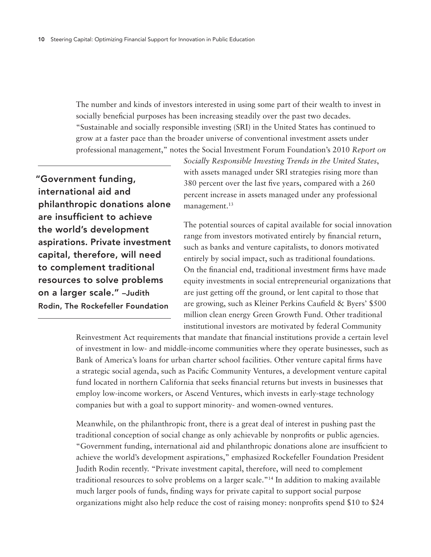The number and kinds of investors interested in using some part of their wealth to invest in socially beneficial purposes has been increasing steadily over the past two decades. "Sustainable and socially responsible investing (SRI) in the United States has continued to grow at a faster pace than the broader universe of conventional investment assets under professional management," notes the Social Investment Forum Foundation's 2010 *Report on* 

"Government funding, international aid and philanthropic donations alone are insufficient to achieve the world's development aspirations. Private investment capital, therefore, will need to complement traditional resources to solve problems on a larger scale." –Judith Rodin, The Rockefeller Foundation

*Socially Responsible Investing Trends in the United States*, with assets managed under SRI strategies rising more than 380 percent over the last five years, compared with a 260 percent increase in assets managed under any professional management.<sup>13</sup>

The potential sources of capital available for social innovation range from investors motivated entirely by financial return, such as banks and venture capitalists, to donors motivated entirely by social impact, such as traditional foundations. On the financial end, traditional investment firms have made equity investments in social entrepreneurial organizations that are just getting off the ground, or lent capital to those that are growing, such as Kleiner Perkins Caufield & Byers' \$500 million clean energy Green Growth Fund. Other traditional institutional investors are motivated by federal Community

Reinvestment Act requirements that mandate that financial institutions provide a certain level of investment in low- and middle-income communities where they operate businesses, such as Bank of America's loans for urban charter school facilities. Other venture capital firms have a strategic social agenda, such as Pacific Community Ventures, a development venture capital fund located in northern California that seeks financial returns but invests in businesses that employ low-income workers, or Ascend Ventures, which invests in early-stage technology companies but with a goal to support minority- and women-owned ventures.

Meanwhile, on the philanthropic front, there is a great deal of interest in pushing past the traditional conception of social change as only achievable by nonprofits or public agencies. "Government funding, international aid and philanthropic donations alone are insufficient to achieve the world's development aspirations," emphasized Rockefeller Foundation President Judith Rodin recently. "Private investment capital, therefore, will need to complement traditional resources to solve problems on a larger scale."14 In addition to making available much larger pools of funds, finding ways for private capital to support social purpose organizations might also help reduce the cost of raising money: nonprofits spend \$10 to \$24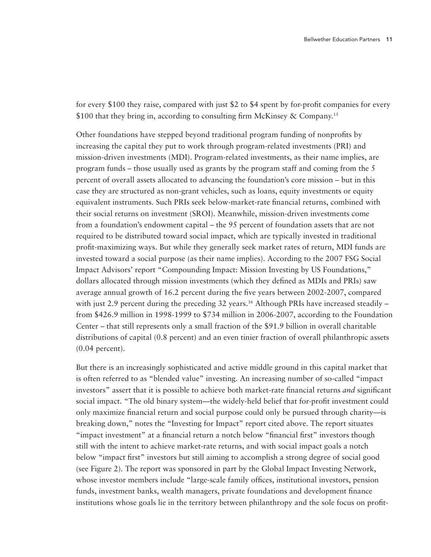for every \$100 they raise, compared with just \$2 to \$4 spent by for-profit companies for every \$100 that they bring in, according to consulting firm McKinsey & Company.<sup>15</sup>

Other foundations have stepped beyond traditional program funding of nonprofits by increasing the capital they put to work through program-related investments (PRI) and mission-driven investments (MDI). Program-related investments, as their name implies, are program funds – those usually used as grants by the program staff and coming from the 5 percent of overall assets allocated to advancing the foundation's core mission – but in this case they are structured as non-grant vehicles, such as loans, equity investments or equity equivalent instruments. Such PRIs seek below-market-rate financial returns, combined with their social returns on investment (SROI). Meanwhile, mission-driven investments come from a foundation's endowment capital – the 95 percent of foundation assets that are not required to be distributed toward social impact, which are typically invested in traditional profit-maximizing ways. But while they generally seek market rates of return, MDI funds are invested toward a social purpose (as their name implies). According to the 2007 FSG Social Impact Advisors' report "Compounding Impact: Mission Investing by US Foundations," dollars allocated through mission investments (which they defined as MDIs and PRIs) saw average annual growth of 16.2 percent during the five years between 2002-2007, compared with just 2.9 percent during the preceding 32 years.<sup>16</sup> Although PRIs have increased steadily  $$ from \$426.9 million in 1998-1999 to \$734 million in 2006-2007, according to the Foundation Center – that still represents only a small fraction of the \$91.9 billion in overall charitable distributions of capital (0.8 percent) and an even tinier fraction of overall philanthropic assets (0.04 percent).

But there is an increasingly sophisticated and active middle ground in this capital market that is often referred to as "blended value" investing. An increasing number of so-called "impact investors" assert that it is possible to achieve both market-rate financial returns *and* significant social impact. "The old binary system—the widely-held belief that for-profit investment could only maximize financial return and social purpose could only be pursued through charity—is breaking down," notes the "Investing for Impact" report cited above. The report situates "impact investment" at a financial return a notch below "financial first" investors though still with the intent to achieve market-rate returns, and with social impact goals a notch below "impact first" investors but still aiming to accomplish a strong degree of social good (see Figure 2). The report was sponsored in part by the Global Impact Investing Network, whose investor members include "large-scale family offices, institutional investors, pension funds, investment banks, wealth managers, private foundations and development finance institutions whose goals lie in the territory between philanthropy and the sole focus on profit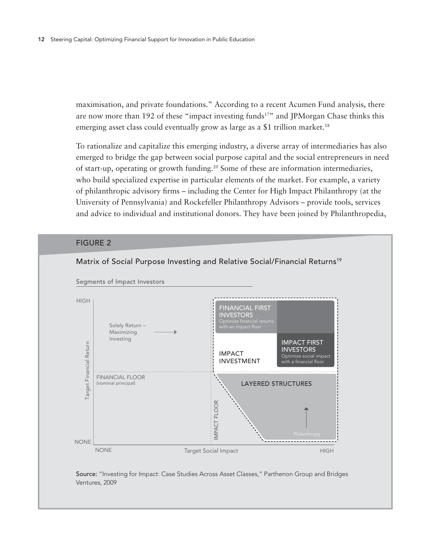maximisation, and private foundations." According to a recent Acumen Fund analysis, there are now more than 192 of these "impact investing funds<sup>17"</sup> and JPMorgan Chase thinks this emerging asset class could eventually grow as large as a \$1 trillion market.<sup>18</sup>

To rationalize and capitalize this emerging industry, a diverse array of intermediaries has also emerged to bridge the gap between social purpose capital and the social entrepreneurs in need of start-up, operating or growth funding.<sup>20</sup> Some of these are information intermediaries, who build specialized expertise in particular elements of the market. For example, a variety of philanthropic advisory firms – including the Center for High Impact Philanthropy (at the University of Pennsylvania) and Rockefeller Philanthropy Advisors – provide tools, services and advice to individual and institutional donors. They have been joined by Philanthropedia,

#### **FIGURE 2**



Source: "Investing for Impact: Case Studies Across Asset Classes," Parthenon Group and Bridges Ventures, 2009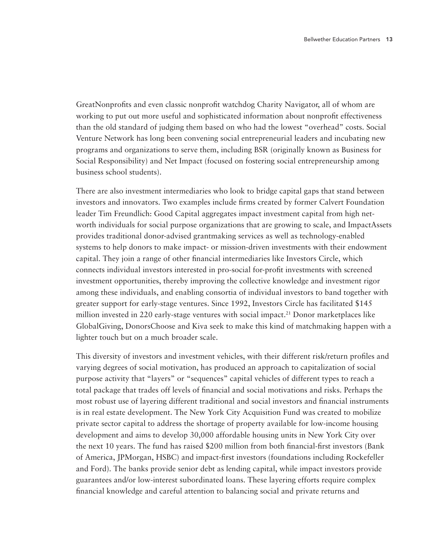GreatNonprofits and even classic nonprofit watchdog Charity Navigator, all of whom are working to put out more useful and sophisticated information about nonprofit effectiveness than the old standard of judging them based on who had the lowest "overhead" costs. Social Venture Network has long been convening social entrepreneurial leaders and incubating new programs and organizations to serve them, including BSR (originally known as Business for Social Responsibility) and Net Impact (focused on fostering social entrepreneurship among business school students).

There are also investment intermediaries who look to bridge capital gaps that stand between investors and innovators. Two examples include firms created by former Calvert Foundation leader Tim Freundlich: Good Capital aggregates impact investment capital from high networth individuals for social purpose organizations that are growing to scale, and ImpactAssets provides traditional donor-advised grantmaking services as well as technology-enabled systems to help donors to make impact- or mission-driven investments with their endowment capital. They join a range of other financial intermediaries like Investors Circle, which connects individual investors interested in pro-social for-profit investments with screened investment opportunities, thereby improving the collective knowledge and investment rigor among these individuals, and enabling consortia of individual investors to band together with greater support for early-stage ventures. Since 1992, Investors Circle has facilitated \$145 million invested in 220 early-stage ventures with social impact.<sup>21</sup> Donor marketplaces like GlobalGiving, DonorsChoose and Kiva seek to make this kind of matchmaking happen with a lighter touch but on a much broader scale.

This diversity of investors and investment vehicles, with their different risk/return profiles and varying degrees of social motivation, has produced an approach to capitalization of social purpose activity that "layers" or "sequences" capital vehicles of different types to reach a total package that trades off levels of financial and social motivations and risks. Perhaps the most robust use of layering different traditional and social investors and financial instruments is in real estate development. The New York City Acquisition Fund was created to mobilize private sector capital to address the shortage of property available for low-income housing development and aims to develop 30,000 affordable housing units in New York City over the next 10 years. The fund has raised \$200 million from both financial-first investors (Bank of America, JPMorgan, HSBC) and impact-first investors (foundations including Rockefeller and Ford). The banks provide senior debt as lending capital, while impact investors provide guarantees and/or low-interest subordinated loans. These layering efforts require complex financial knowledge and careful attention to balancing social and private returns and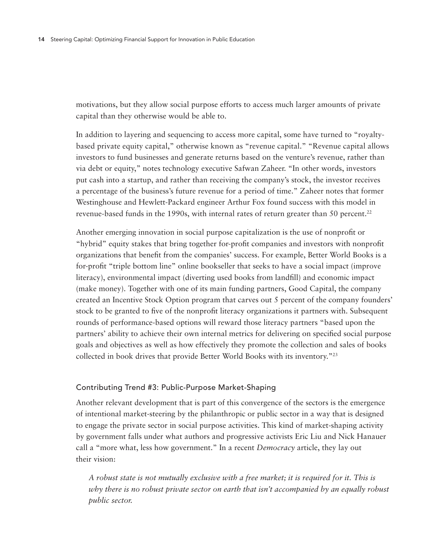motivations, but they allow social purpose efforts to access much larger amounts of private capital than they otherwise would be able to.

In addition to layering and sequencing to access more capital, some have turned to "royaltybased private equity capital," otherwise known as "revenue capital." "Revenue capital allows investors to fund businesses and generate returns based on the venture's revenue, rather than via debt or equity," notes technology executive Safwan Zaheer. "In other words, investors put cash into a startup, and rather than receiving the company's stock, the investor receives a percentage of the business's future revenue for a period of time." Zaheer notes that former Westinghouse and Hewlett-Packard engineer Arthur Fox found success with this model in revenue-based funds in the 1990s, with internal rates of return greater than 50 percent.<sup>22</sup>

Another emerging innovation in social purpose capitalization is the use of nonprofit or "hybrid" equity stakes that bring together for-profit companies and investors with nonprofit organizations that benefit from the companies' success. For example, Better World Books is a for-profit "triple bottom line" online bookseller that seeks to have a social impact (improve literacy), environmental impact (diverting used books from landfill) and economic impact (make money). Together with one of its main funding partners, Good Capital, the company created an Incentive Stock Option program that carves out 5 percent of the company founders' stock to be granted to five of the nonprofit literacy organizations it partners with. Subsequent rounds of performance-based options will reward those literacy partners "based upon the partners' ability to achieve their own internal metrics for delivering on specified social purpose goals and objectives as well as how effectively they promote the collection and sales of books collected in book drives that provide Better World Books with its inventory."23

## Contributing Trend #3: Public-Purpose Market-Shaping

Another relevant development that is part of this convergence of the sectors is the emergence of intentional market-steering by the philanthropic or public sector in a way that is designed to engage the private sector in social purpose activities. This kind of market-shaping activity by government falls under what authors and progressive activists Eric Liu and Nick Hanauer call a "more what, less how government." In a recent *Democracy* article, they lay out their vision:

*A robust state is not mutually exclusive with a free market; it is required for it. This is why there is no robust private sector on earth that isn't accompanied by an equally robust public sector.*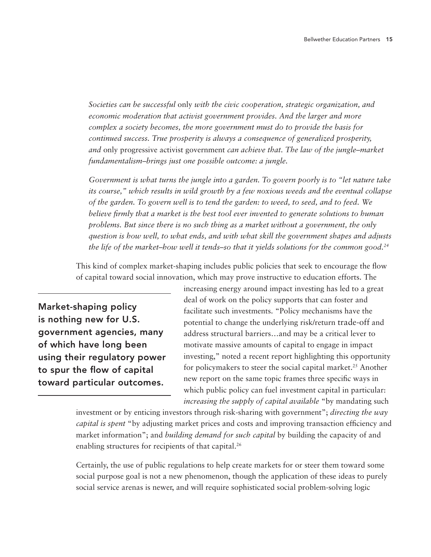*Societies can be successful* only *with the civic cooperation, strategic organization, and*  economic moderation that activist government provides. And the larger and more *complex a society becomes, the more government must do to provide the basis for continued success. True prosperity is always a consequence of generalized prosperity, and* only progressive activist government *can achieve that. The law of the jungle–market fundamentalism–brings just one possible outcome: a jungle.*

*Government is what turns the jungle into a garden. To govern poorly is to "let nature take its course," which results in wild growth by a few noxious weeds and the eventual collapse of the garden. To govern well is to tend the garden: to weed, to seed, and to feed. We believe firmly that a market is the best tool ever invented to generate solutions to human problems. But since there is no such thing as a market without a government, the only question is how well, to what ends, and with what skill the government shapes and adjusts the life of the market–how well it tends–so that it yields solutions for the common good.24*

This kind of complex market-shaping includes public policies that seek to encourage the flow of capital toward social innovation, which may prove instructive to education efforts. The

Market-shaping policy is nothing new for U.S. government agencies, many of which have long been using their regulatory power to spur the flow of capital toward particular outcomes.

increasing energy around impact investing has led to a great deal of work on the policy supports that can foster and facilitate such investments. "Policy mechanisms have the potential to change the underlying risk/return trade-off and address structural barriers…and may be a critical lever to motivate massive amounts of capital to engage in impact investing," noted a recent report highlighting this opportunity for policymakers to steer the social capital market.<sup>25</sup> Another new report on the same topic frames three specific ways in which public policy can fuel investment capital in particular: *increasing the supply of capital available* "by mandating such

investment or by enticing investors through risk-sharing with government"; *directing the way capital is spent* "by adjusting market prices and costs and improving transaction efficiency and market information"; and *building demand for such capital* by building the capacity of and enabling structures for recipients of that capital.<sup>26</sup>

Certainly, the use of public regulations to help create markets for or steer them toward some social purpose goal is not a new phenomenon, though the application of these ideas to purely social service arenas is newer, and will require sophisticated social problem-solving logic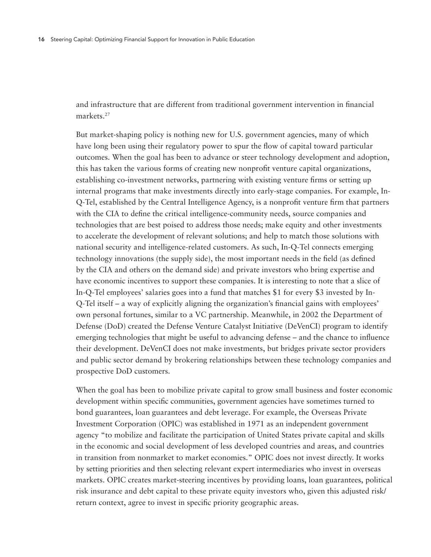and infrastructure that are different from traditional government intervention in financial markets.27

But market-shaping policy is nothing new for U.S. government agencies, many of which have long been using their regulatory power to spur the flow of capital toward particular outcomes. When the goal has been to advance or steer technology development and adoption, this has taken the various forms of creating new nonprofit venture capital organizations, establishing co-investment networks, partnering with existing venture firms or setting up internal programs that make investments directly into early-stage companies. For example, In-Q-Tel, established by the Central Intelligence Agency, is a nonprofit venture firm that partners with the CIA to define the critical intelligence-community needs, source companies and technologies that are best poised to address those needs; make equity and other investments to accelerate the development of relevant solutions; and help to match those solutions with national security and intelligence-related customers. As such, In-Q-Tel connects emerging technology innovations (the supply side), the most important needs in the field (as defined by the CIA and others on the demand side) and private investors who bring expertise and have economic incentives to support these companies. It is interesting to note that a slice of In-Q-Tel employees' salaries goes into a fund that matches \$1 for every \$3 invested by In-Q-Tel itself – a way of explicitly aligning the organization's financial gains with employees' own personal fortunes, similar to a VC partnership. Meanwhile, in 2002 the Department of Defense (DoD) created the Defense Venture Catalyst Initiative (DeVenCI) program to identify emerging technologies that might be useful to advancing defense – and the chance to influence their development. DeVenCI does not make investments, but bridges private sector providers and public sector demand by brokering relationships between these technology companies and prospective DoD customers.

When the goal has been to mobilize private capital to grow small business and foster economic development within specific communities, government agencies have sometimes turned to bond guarantees, loan guarantees and debt leverage. For example, the Overseas Private Investment Corporation (OPIC) was established in 1971 as an independent government agency "to mobilize and facilitate the participation of United States private capital and skills in the economic and social development of less developed countries and areas, and countries in transition from nonmarket to market economies." OPIC does not invest directly. It works by setting priorities and then selecting relevant expert intermediaries who invest in overseas markets. OPIC creates market-steering incentives by providing loans, loan guarantees, political risk insurance and debt capital to these private equity investors who, given this adjusted risk/ return context, agree to invest in specific priority geographic areas.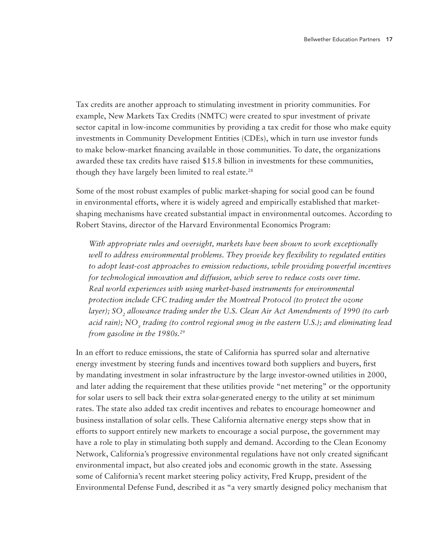Tax credits are another approach to stimulating investment in priority communities. For example, New Markets Tax Credits (NMTC) were created to spur investment of private sector capital in low-income communities by providing a tax credit for those who make equity investments in Community Development Entities (CDEs), which in turn use investor funds to make below-market financing available in those communities. To date, the organizations awarded these tax credits have raised \$15.8 billion in investments for these communities, though they have largely been limited to real estate.<sup>28</sup>

Some of the most robust examples of public market-shaping for social good can be found in environmental efforts, where it is widely agreed and empirically established that marketshaping mechanisms have created substantial impact in environmental outcomes. According to Robert Stavins*,* director of the Harvard Environmental Economics Program:

*With appropriate rules and oversight, markets have been shown to work exceptionally well to address environmental problems. They provide key flexibility to regulated entities to adopt least-cost approaches to emission reductions, while providing powerful incentives for technological innovation and diffusion, which serve to reduce costs over time. Real world experiences with using market-based instruments for environmental protection include CFC trading under the Montreal Protocol (to protect the ozone layer);* SO<sub>2</sub> allowance trading under the U.S. Clean Air Act Amendments of 1990 (to curb *acid rain);* NO<sub>x</sub> *trading (to control regional smog in the eastern U.S.); and eliminating lead from gasoline in the 1980s.29*

In an effort to reduce emissions, the state of California has spurred solar and alternative energy investment by steering funds and incentives toward both suppliers and buyers, first by mandating investment in solar infrastructure by the large investor-owned utilities in 2000, and later adding the requirement that these utilities provide "net metering" or the opportunity for solar users to sell back their extra solar-generated energy to the utility at set minimum rates. The state also added tax credit incentives and rebates to encourage homeowner and business installation of solar cells. These California alternative energy steps show that in efforts to support entirely new markets to encourage a social purpose, the government may have a role to play in stimulating both supply and demand. According to the Clean Economy Network, California's progressive environmental regulations have not only created significant environmental impact, but also created jobs and economic growth in the state. Assessing some of California's recent market steering policy activity, Fred Krupp, president of the Environmental Defense Fund, described it as "a very smartly designed policy mechanism that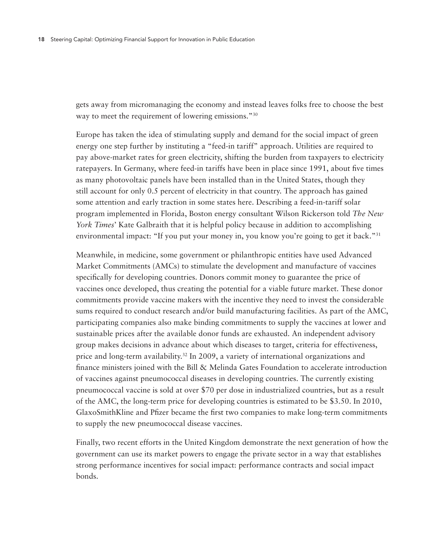gets away from micromanaging the economy and instead leaves folks free to choose the best way to meet the requirement of lowering emissions."<sup>30</sup>

Europe has taken the idea of stimulating supply and demand for the social impact of green energy one step further by instituting a "feed-in tariff" approach. Utilities are required to pay above-market rates for green electricity, shifting the burden from taxpayers to electricity ratepayers. In Germany, where feed-in tariffs have been in place since 1991, about five times as many photovoltaic panels have been installed than in the United States, though they still account for only 0.5 percent of electricity in that country. The approach has gained some attention and early traction in some states here. Describing a feed-in-tariff solar program implemented in Florida, Boston energy consultant Wilson Rickerson told *The New York Times*' Kate Galbraith that it is helpful policy because in addition to accomplishing environmental impact: "If you put your money in, you know you're going to get it back."<sup>31</sup>

Meanwhile, in medicine, some government or philanthropic entities have used Advanced Market Commitments (AMCs) to stimulate the development and manufacture of vaccines specifically for developing countries. Donors commit money to guarantee the price of vaccines once developed, thus creating the potential for a viable future market. These donor commitments provide vaccine makers with the incentive they need to invest the considerable sums required to conduct research and/or build manufacturing facilities. As part of the AMC, participating companies also make binding commitments to supply the vaccines at lower and sustainable prices after the available donor funds are exhausted. An independent advisory group makes decisions in advance about which diseases to target, criteria for effectiveness, price and long-term availability.<sup>32</sup> In 2009, a variety of international organizations and finance ministers joined with the Bill & Melinda Gates Foundation to accelerate introduction of vaccines against pneumococcal diseases in developing countries. The currently existing pneumococcal vaccine is sold at over \$70 per dose in industrialized countries, but as a result of the AMC, the long-term price for developing countries is estimated to be \$3.50. In 2010, GlaxoSmithKline and Pfizer became the first two companies to make long-term commitments to supply the new pneumococcal disease vaccines.

Finally, two recent efforts in the United Kingdom demonstrate the next generation of how the government can use its market powers to engage the private sector in a way that establishes strong performance incentives for social impact: performance contracts and social impact bonds.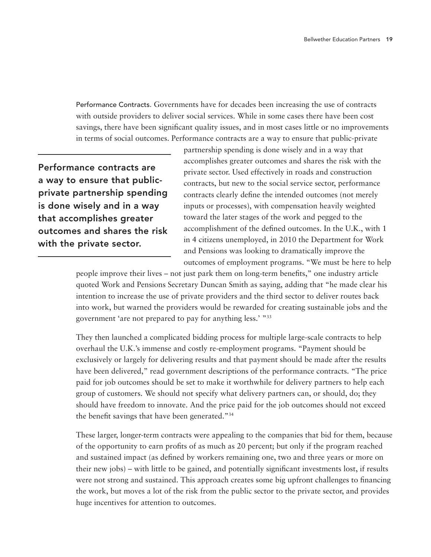Performance Contracts. Governments have for decades been increasing the use of contracts with outside providers to deliver social services. While in some cases there have been cost savings, there have been significant quality issues, and in most cases little or no improvements in terms of social outcomes. Performance contracts are a way to ensure that public-private

Performance contracts are a way to ensure that publicprivate partnership spending is done wisely and in a way that accomplishes greater outcomes and shares the risk with the private sector.

partnership spending is done wisely and in a way that accomplishes greater outcomes and shares the risk with the private sector. Used effectively in roads and construction contracts, but new to the social service sector, performance contracts clearly define the intended outcomes (not merely inputs or processes), with compensation heavily weighted toward the later stages of the work and pegged to the accomplishment of the defined outcomes. In the U.K., with 1 in 4 citizens unemployed, in 2010 the Department for Work and Pensions was looking to dramatically improve the outcomes of employment programs. "We must be here to help

people improve their lives – not just park them on long-term benefits," one industry article quoted Work and Pensions Secretary Duncan Smith as saying, adding that "he made clear his intention to increase the use of private providers and the third sector to deliver routes back into work, but warned the providers would be rewarded for creating sustainable jobs and the government 'are not prepared to pay for anything less.' "33

They then launched a complicated bidding process for multiple large-scale contracts to help overhaul the U.K.'s immense and costly re-employment programs. "Payment should be exclusively or largely for delivering results and that payment should be made after the results have been delivered," read government descriptions of the performance contracts. "The price paid for job outcomes should be set to make it worthwhile for delivery partners to help each group of customers. We should not specify what delivery partners can, or should, do; they should have freedom to innovate. And the price paid for the job outcomes should not exceed the benefit savings that have been generated."34

These larger, longer-term contracts were appealing to the companies that bid for them, because of the opportunity to earn profits of as much as 20 percent; but only if the program reached and sustained impact (as defined by workers remaining one, two and three years or more on their new jobs) – with little to be gained, and potentially significant investments lost, if results were not strong and sustained. This approach creates some big upfront challenges to financing the work, but moves a lot of the risk from the public sector to the private sector, and provides huge incentives for attention to outcomes.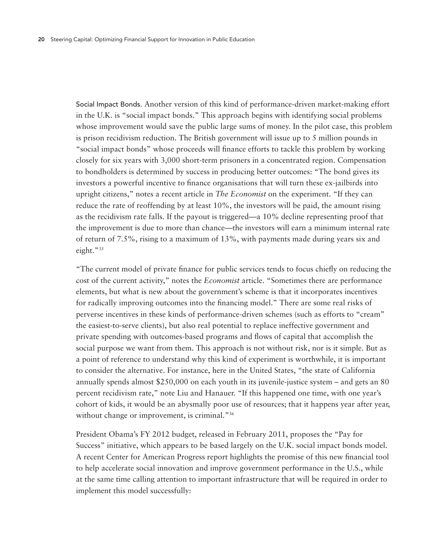Social Impact Bonds. Another version of this kind of performance-driven market-making effort in the U.K. is "social impact bonds." This approach begins with identifying social problems whose improvement would save the public large sums of money. In the pilot case, this problem is prison recidivism reduction. The British government will issue up to 5 million pounds in "social impact bonds" whose proceeds will finance efforts to tackle this problem by working closely for six years with 3,000 short-term prisoners in a concentrated region. Compensation to bondholders is determined by success in producing better outcomes: "The bond gives its investors a powerful incentive to finance organisations that will turn these ex-jailbirds into upright citizens," notes a recent article in *The Economist* on the experiment. "If they can reduce the rate of reoffending by at least 10%, the investors will be paid, the amount rising as the recidivism rate falls. If the payout is triggered—a 10% decline representing proof that the improvement is due to more than chance—the investors will earn a minimum internal rate of return of 7.5%, rising to a maximum of 13%, with payments made during years six and eight."35

"The current model of private finance for public services tends to focus chiefly on reducing the cost of the current activity," notes the *Economist* article. "Sometimes there are performance elements, but what is new about the government's scheme is that it incorporates incentives for radically improving outcomes into the financing model." There are some real risks of perverse incentives in these kinds of performance-driven schemes (such as efforts to "cream" the easiest-to-serve clients), but also real potential to replace ineffective government and private spending with outcomes-based programs and flows of capital that accomplish the social purpose we want from them. This approach is not without risk, nor is it simple. But as a point of reference to understand why this kind of experiment is worthwhile, it is important to consider the alternative. For instance, here in the United States, "the state of California annually spends almost \$250,000 on each youth in its juvenile-justice system – and gets an 80 percent recidivism rate," note Liu and Hanauer. "If this happened one time, with one year's cohort of kids, it would be an abysmally poor use of resources; that it happens year after year, without change or improvement, is criminal."<sup>36</sup>

President Obama's FY 2012 budget, released in February 2011, proposes the "Pay for Success" initiative, which appears to be based largely on the U.K. social impact bonds model. A recent Center for American Progress report highlights the promise of this new financial tool to help accelerate social innovation and improve government performance in the U.S., while at the same time calling attention to important infrastructure that will be required in order to implement this model successfully: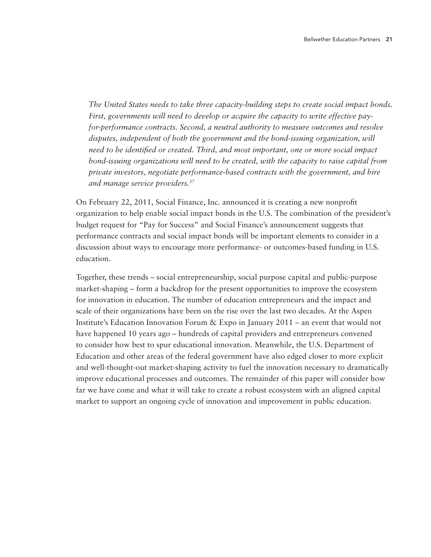*The United States needs to take three capacity-building steps to create social impact bonds. First, governments will need to develop or acquire the capacity to write effective payfor-performance contracts. Second, a neutral authority to measure outcomes and resolve disputes, independent of both the government and the bond-issuing organization, will need to be identified or created. Third, and most important, one or more social impact bond-issuing organizations will need to be created, with the capacity to raise capital from private investors, negotiate performance-based contracts with the government, and hire and manage service providers.37*

On February 22, 2011, Social Finance, Inc. announced it is creating a new nonprofit organization to help enable social impact bonds in the U.S. The combination of the president's budget request for "Pay for Success" and Social Finance's announcement suggests that performance contracts and social impact bonds will be important elements to consider in a discussion about ways to encourage more performance- or outcomes-based funding in U.S. education.

Together, these trends – social entrepreneurship, social purpose capital and public-purpose market-shaping – form a backdrop for the present opportunities to improve the ecosystem for innovation in education. The number of education entrepreneurs and the impact and scale of their organizations have been on the rise over the last two decades. At the Aspen Institute's Education Innovation Forum & Expo in January 2011 – an event that would not have happened 10 years ago – hundreds of capital providers and entrepreneurs convened to consider how best to spur educational innovation. Meanwhile, the U.S. Department of Education and other areas of the federal government have also edged closer to more explicit and well-thought-out market-shaping activity to fuel the innovation necessary to dramatically improve educational processes and outcomes. The remainder of this paper will consider how far we have come and what it will take to create a robust ecosystem with an aligned capital market to support an ongoing cycle of innovation and improvement in public education.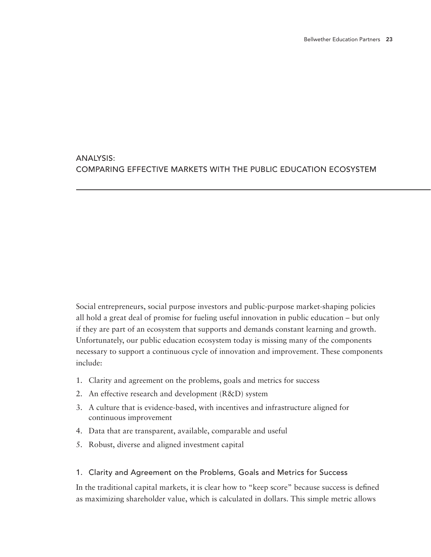## Analysis: Comparing Effective Markets with the Public Education Ecosystem

Social entrepreneurs, social purpose investors and public-purpose market-shaping policies all hold a great deal of promise for fueling useful innovation in public education – but only if they are part of an ecosystem that supports and demands constant learning and growth. Unfortunately, our public education ecosystem today is missing many of the components necessary to support a continuous cycle of innovation and improvement. These components include:

- 1. Clarity and agreement on the problems, goals and metrics for success
- 2. An effective research and development (R&D) system
- 3. A culture that is evidence-based, with incentives and infrastructure aligned for continuous improvement
- 4. Data that are transparent, available, comparable and useful
- 5. Robust, diverse and aligned investment capital

## 1. Clarity and Agreement on the Problems, Goals and Metrics for Success

In the traditional capital markets, it is clear how to "keep score" because success is defined as maximizing shareholder value, which is calculated in dollars. This simple metric allows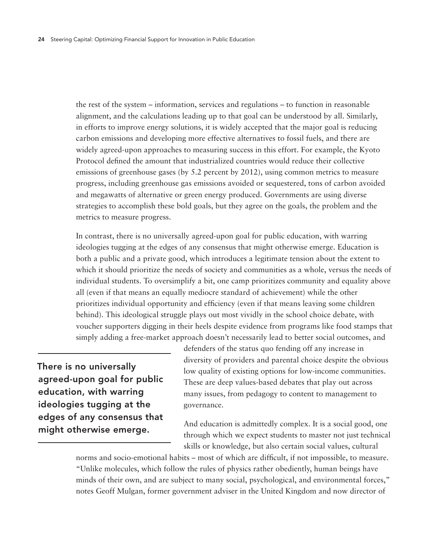the rest of the system – information, services and regulations – to function in reasonable alignment, and the calculations leading up to that goal can be understood by all. Similarly, in efforts to improve energy solutions, it is widely accepted that the major goal is reducing carbon emissions and developing more effective alternatives to fossil fuels, and there are widely agreed-upon approaches to measuring success in this effort. For example, the Kyoto Protocol defined the amount that industrialized countries would reduce their collective emissions of greenhouse gases (by 5.2 percent by 2012), using common metrics to measure progress, including greenhouse gas emissions avoided or sequestered, tons of carbon avoided and megawatts of alternative or green energy produced. Governments are using diverse strategies to accomplish these bold goals, but they agree on the goals, the problem and the metrics to measure progress.

In contrast, there is no universally agreed-upon goal for public education, with warring ideologies tugging at the edges of any consensus that might otherwise emerge. Education is both a public and a private good, which introduces a legitimate tension about the extent to which it should prioritize the needs of society and communities as a whole, versus the needs of individual students. To oversimplify a bit, one camp prioritizes community and equality above all (even if that means an equally mediocre standard of achievement) while the other prioritizes individual opportunity and efficiency (even if that means leaving some children behind). This ideological struggle plays out most vividly in the school choice debate, with voucher supporters digging in their heels despite evidence from programs like food stamps that simply adding a free-market approach doesn't necessarily lead to better social outcomes, and

There is no universally agreed-upon goal for public education, with warring ideologies tugging at the edges of any consensus that might otherwise emerge.

defenders of the status quo fending off any increase in diversity of providers and parental choice despite the obvious low quality of existing options for low-income communities. These are deep values-based debates that play out across many issues, from pedagogy to content to management to governance.

And education is admittedly complex. It is a social good, one through which we expect students to master not just technical skills or knowledge, but also certain social values, cultural

norms and socio-emotional habits – most of which are difficult, if not impossible, to measure. "Unlike molecules, which follow the rules of physics rather obediently, human beings have minds of their own, and are subject to many social, psychological, and environmental forces," notes Geoff Mulgan, former government adviser in the United Kingdom and now director of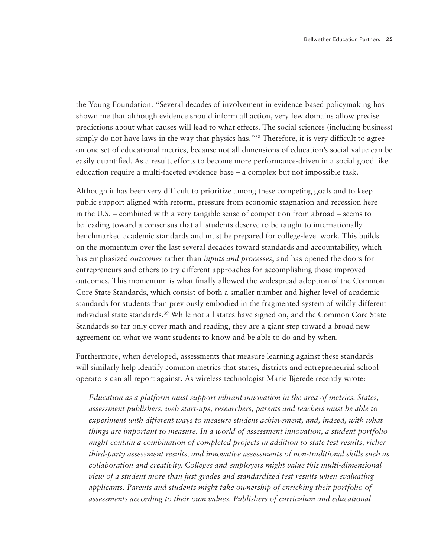the Young Foundation. "Several decades of involvement in evidence-based policymaking has shown me that although evidence should inform all action, very few domains allow precise predictions about what causes will lead to what effects. The social sciences (including business) simply do not have laws in the way that physics has."<sup>38</sup> Therefore, it is very difficult to agree on one set of educational metrics, because not all dimensions of education's social value can be easily quantified. As a result, efforts to become more performance-driven in a social good like education require a multi-faceted evidence base – a complex but not impossible task.

Although it has been very difficult to prioritize among these competing goals and to keep public support aligned with reform, pressure from economic stagnation and recession here in the U.S. – combined with a very tangible sense of competition from abroad – seems to be leading toward a consensus that all students deserve to be taught to internationally benchmarked academic standards and must be prepared for college-level work. This builds on the momentum over the last several decades toward standards and accountability, which has emphasized *outcomes* rather than *inputs and processes*, and has opened the doors for entrepreneurs and others to try different approaches for accomplishing those improved outcomes. This momentum is what finally allowed the widespread adoption of the Common Core State Standards, which consist of both a smaller number and higher level of academic standards for students than previously embodied in the fragmented system of wildly different individual state standards.<sup>39</sup> While not all states have signed on, and the Common Core State Standards so far only cover math and reading, they are a giant step toward a broad new agreement on what we want students to know and be able to do and by when.

Furthermore, when developed, assessments that measure learning against these standards will similarly help identify common metrics that states, districts and entrepreneurial school operators can all report against. As wireless technologist Marie Bjerede recently wrote:

*Education as a platform must support vibrant innovation in the area of metrics. States, assessment publishers, web start-ups, researchers, parents and teachers must be able to experiment with different ways to measure student achievement, and, indeed, with what things are important to measure. In a world of assessment innovation, a student portfolio might contain a combination of completed projects in addition to state test results, richer third-party assessment results, and innovative assessments of non-traditional skills such as collaboration and creativity. Colleges and employers might value this multi-dimensional view of a student more than just grades and standardized test results when evaluating applicants. Parents and students might take ownership of enriching their portfolio of assessments according to their own values. Publishers of curriculum and educational*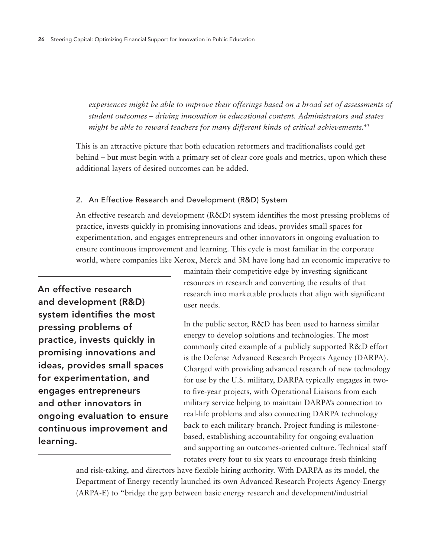experiences might be able to improve their offerings based on a broad set of assessments of *student outcomes – driving innovation in educational content. Administrators and states might be able to reward teachers for many different kinds of critical achievements.40*

This is an attractive picture that both education reformers and traditionalists could get behind – but must begin with a primary set of clear core goals and metrics, upon which these additional layers of desired outcomes can be added.

## 2. An Effective Research and Development (R&D) System

An effective research and development (R&D) system identifies the most pressing problems of practice, invests quickly in promising innovations and ideas, provides small spaces for experimentation, and engages entrepreneurs and other innovators in ongoing evaluation to ensure continuous improvement and learning. This cycle is most familiar in the corporate world, where companies like Xerox, Merck and 3M have long had an economic imperative to

An effective research and development (R&D) system identifies the most pressing problems of practice, invests quickly in promising innovations and ideas, provides small spaces for experimentation, and engages entrepreneurs and other innovators in ongoing evaluation to ensure continuous improvement and learning.

maintain their competitive edge by investing significant resources in research and converting the results of that research into marketable products that align with significant user needs.

In the public sector, R&D has been used to harness similar energy to develop solutions and technologies. The most commonly cited example of a publicly supported R&D effort is the Defense Advanced Research Projects Agency (DARPA). Charged with providing advanced research of new technology for use by the U.S. military, DARPA typically engages in twoto five-year projects, with Operational Liaisons from each military service helping to maintain DARPA's connection to real-life problems and also connecting DARPA technology back to each military branch. Project funding is milestonebased, establishing accountability for ongoing evaluation and supporting an outcomes-oriented culture. Technical staff rotates every four to six years to encourage fresh thinking

and risk-taking, and directors have flexible hiring authority. With DARPA as its model, the Department of Energy recently launched its own Advanced Research Projects Agency-Energy (ARPA-E) to "bridge the gap between basic energy research and development/industrial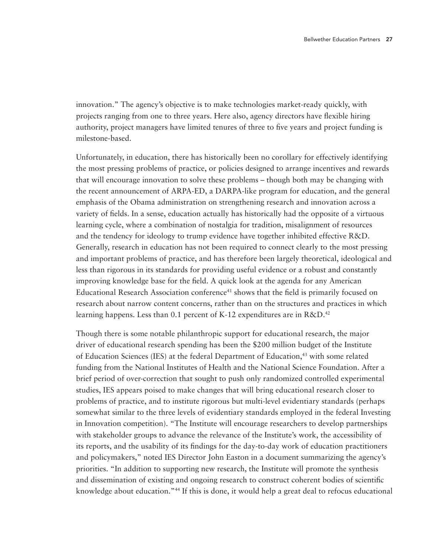innovation." The agency's objective is to make technologies market-ready quickly, with projects ranging from one to three years. Here also, agency directors have flexible hiring authority, project managers have limited tenures of three to five years and project funding is milestone-based.

Unfortunately, in education, there has historically been no corollary for effectively identifying the most pressing problems of practice, or policies designed to arrange incentives and rewards that will encourage innovation to solve these problems – though both may be changing with the recent announcement of ARPA-ED, a DARPA-like program for education, and the general emphasis of the Obama administration on strengthening research and innovation across a variety of fields. In a sense, education actually has historically had the opposite of a virtuous learning cycle, where a combination of nostalgia for tradition, misalignment of resources and the tendency for ideology to trump evidence have together inhibited effective R&D. Generally, research in education has not been required to connect clearly to the most pressing and important problems of practice, and has therefore been largely theoretical, ideological and less than rigorous in its standards for providing useful evidence or a robust and constantly improving knowledge base for the field. A quick look at the agenda for any American Educational Research Association conference<sup>41</sup> shows that the field is primarily focused on research about narrow content concerns, rather than on the structures and practices in which learning happens. Less than 0.1 percent of K-12 expenditures are in  $R\&D^{42}$ 

Though there is some notable philanthropic support for educational research, the major driver of educational research spending has been the \$200 million budget of the Institute of Education Sciences (IES) at the federal Department of Education,<sup>43</sup> with some related funding from the National Institutes of Health and the National Science Foundation. After a brief period of over-correction that sought to push only randomized controlled experimental studies, IES appears poised to make changes that will bring educational research closer to problems of practice, and to institute rigorous but multi-level evidentiary standards (perhaps somewhat similar to the three levels of evidentiary standards employed in the federal Investing in Innovation competition). "The Institute will encourage researchers to develop partnerships with stakeholder groups to advance the relevance of the Institute's work, the accessibility of its reports, and the usability of its findings for the day-to-day work of education practitioners and policymakers," noted IES Director John Easton in a document summarizing the agency's priorities. "In addition to supporting new research, the Institute will promote the synthesis and dissemination of existing and ongoing research to construct coherent bodies of scientific knowledge about education."44 If this is done, it would help a great deal to refocus educational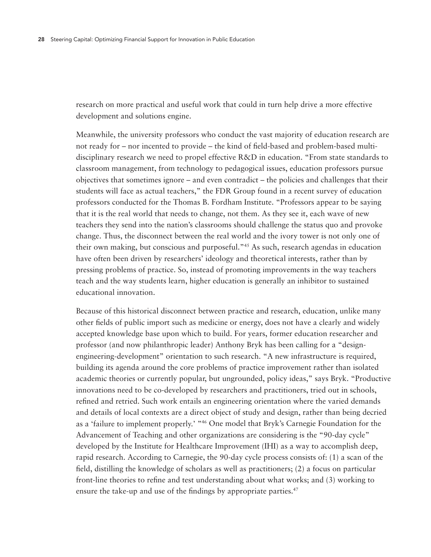research on more practical and useful work that could in turn help drive a more effective development and solutions engine.

Meanwhile, the university professors who conduct the vast majority of education research are not ready for – nor incented to provide – the kind of field-based and problem-based multidisciplinary research we need to propel effective R&D in education. "From state standards to classroom management, from technology to pedagogical issues, education professors pursue objectives that sometimes ignore – and even contradict – the policies and challenges that their students will face as actual teachers," the FDR Group found in a recent survey of education professors conducted for the Thomas B. Fordham Institute. "Professors appear to be saying that it is the real world that needs to change, not them. As they see it, each wave of new teachers they send into the nation's classrooms should challenge the status quo and provoke change. Thus, the disconnect between the real world and the ivory tower is not only one of their own making, but conscious and purposeful."45 As such, research agendas in education have often been driven by researchers' ideology and theoretical interests, rather than by pressing problems of practice. So, instead of promoting improvements in the way teachers teach and the way students learn, higher education is generally an inhibitor to sustained educational innovation.

Because of this historical disconnect between practice and research, education, unlike many other fields of public import such as medicine or energy, does not have a clearly and widely accepted knowledge base upon which to build. For years, former education researcher and professor (and now philanthropic leader) Anthony Bryk has been calling for a "designengineering-development" orientation to such research. "A new infrastructure is required, building its agenda around the core problems of practice improvement rather than isolated academic theories or currently popular, but ungrounded, policy ideas," says Bryk. "Productive innovations need to be co-developed by researchers and practitioners, tried out in schools, refined and retried. Such work entails an engineering orientation where the varied demands and details of local contexts are a direct object of study and design, rather than being decried as a 'failure to implement properly.' "46 One model that Bryk's Carnegie Foundation for the Advancement of Teaching and other organizations are considering is the "90-day cycle" developed by the Institute for Healthcare Improvement (IHI) as a way to accomplish deep, rapid research. According to Carnegie, the 90-day cycle process consists of: (1) a scan of the field, distilling the knowledge of scholars as well as practitioners; (2) a focus on particular front-line theories to refine and test understanding about what works; and (3) working to ensure the take-up and use of the findings by appropriate parties.<sup>47</sup>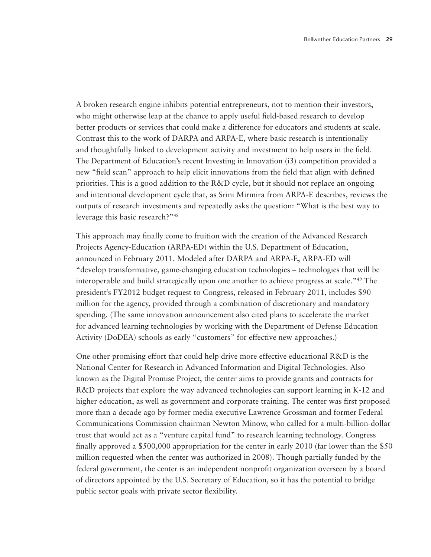A broken research engine inhibits potential entrepreneurs, not to mention their investors, who might otherwise leap at the chance to apply useful field-based research to develop better products or services that could make a difference for educators and students at scale. Contrast this to the work of DARPA and ARPA-E, where basic research is intentionally and thoughtfully linked to development activity and investment to help users in the field. The Department of Education's recent Investing in Innovation (i3) competition provided a new "field scan" approach to help elicit innovations from the field that align with defined priorities. This is a good addition to the R&D cycle, but it should not replace an ongoing and intentional development cycle that, as Srini Mirmira from ARPA-E describes, reviews the outputs of research investments and repeatedly asks the question: "What is the best way to leverage this basic research?"48

This approach may finally come to fruition with the creation of the Advanced Research Projects Agency-Education (ARPA-ED) within the U.S. Department of Education, announced in February 2011. Modeled after DARPA and ARPA-E, ARPA-ED will "develop transformative, game-changing education technologies – technologies that will be interoperable and build strategically upon one another to achieve progress at scale."49 The president's FY2012 budget request to Congress, released in February 2011, includes \$90 million for the agency, provided through a combination of discretionary and mandatory spending. (The same innovation announcement also cited plans to accelerate the market for advanced learning technologies by working with the Department of Defense Education Activity (DoDEA) schools as early "customers" for effective new approaches.)

One other promising effort that could help drive more effective educational R&D is the National Center for Research in Advanced Information and Digital Technologies. Also known as the Digital Promise Project, the center aims to provide grants and contracts for R&D projects that explore the way advanced technologies can support learning in K-12 and higher education, as well as government and corporate training. The center was first proposed more than a decade ago by former media executive Lawrence Grossman and former Federal Communications Commission chairman Newton Minow, who called for a multi-billion-dollar trust that would act as a "venture capital fund" to research learning technology. Congress finally approved a \$500,000 appropriation for the center in early 2010 (far lower than the \$50 million requested when the center was authorized in 2008). Though partially funded by the federal government, the center is an independent nonprofit organization overseen by a board of directors appointed by the U.S. Secretary of Education, so it has the potential to bridge public sector goals with private sector flexibility.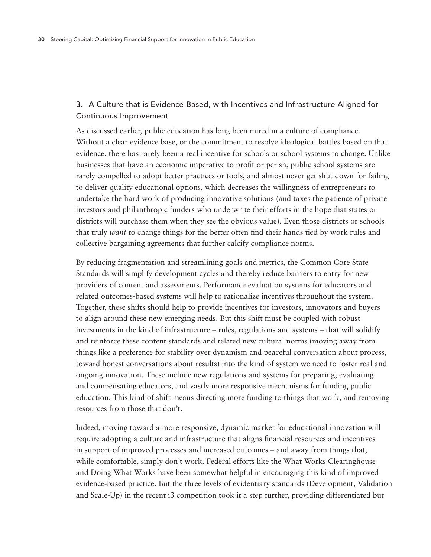## 3. A Culture that is Evidence-Based, with Incentives and Infrastructure Aligned for Continuous Improvement

As discussed earlier, public education has long been mired in a culture of compliance. Without a clear evidence base, or the commitment to resolve ideological battles based on that evidence, there has rarely been a real incentive for schools or school systems to change. Unlike businesses that have an economic imperative to profit or perish, public school systems are rarely compelled to adopt better practices or tools, and almost never get shut down for failing to deliver quality educational options, which decreases the willingness of entrepreneurs to undertake the hard work of producing innovative solutions (and taxes the patience of private investors and philanthropic funders who underwrite their efforts in the hope that states or districts will purchase them when they see the obvious value). Even those districts or schools that truly *want* to change things for the better often find their hands tied by work rules and collective bargaining agreements that further calcify compliance norms.

By reducing fragmentation and streamlining goals and metrics, the Common Core State Standards will simplify development cycles and thereby reduce barriers to entry for new providers of content and assessments. Performance evaluation systems for educators and related outcomes-based systems will help to rationalize incentives throughout the system. Together, these shifts should help to provide incentives for investors, innovators and buyers to align around these new emerging needs. But this shift must be coupled with robust investments in the kind of infrastructure – rules, regulations and systems – that will solidify and reinforce these content standards and related new cultural norms (moving away from things like a preference for stability over dynamism and peaceful conversation about process, toward honest conversations about results) into the kind of system we need to foster real and ongoing innovation. These include new regulations and systems for preparing, evaluating and compensating educators, and vastly more responsive mechanisms for funding public education. This kind of shift means directing more funding to things that work, and removing resources from those that don't.

Indeed, moving toward a more responsive, dynamic market for educational innovation will require adopting a culture and infrastructure that aligns financial resources and incentives in support of improved processes and increased outcomes – and away from things that, while comfortable, simply don't work. Federal efforts like the What Works Clearinghouse and Doing What Works have been somewhat helpful in encouraging this kind of improved evidence-based practice. But the three levels of evidentiary standards (Development, Validation and Scale-Up) in the recent i3 competition took it a step further, providing differentiated but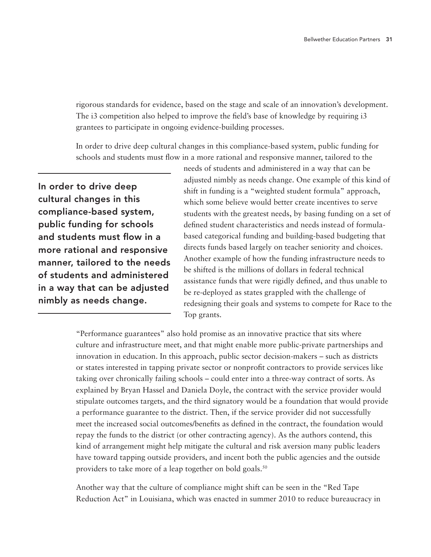rigorous standards for evidence, based on the stage and scale of an innovation's development. The i3 competition also helped to improve the field's base of knowledge by requiring i3 grantees to participate in ongoing evidence-building processes.

In order to drive deep cultural changes in this compliance-based system, public funding for schools and students must flow in a more rational and responsive manner, tailored to the

In order to drive deep cultural changes in this compliance-based system, public funding for schools and students must flow in a more rational and responsive manner, tailored to the needs of students and administered in a way that can be adjusted nimbly as needs change.

needs of students and administered in a way that can be adjusted nimbly as needs change. One example of this kind of shift in funding is a "weighted student formula" approach, which some believe would better create incentives to serve students with the greatest needs, by basing funding on a set of defined student characteristics and needs instead of formulabased categorical funding and building-based budgeting that directs funds based largely on teacher seniority and choices. Another example of how the funding infrastructure needs to be shifted is the millions of dollars in federal technical assistance funds that were rigidly defined, and thus unable to be re-deployed as states grappled with the challenge of redesigning their goals and systems to compete for Race to the Top grants.

"Performance guarantees" also hold promise as an innovative practice that sits where culture and infrastructure meet, and that might enable more public-private partnerships and innovation in education. In this approach, public sector decision-makers – such as districts or states interested in tapping private sector or nonprofit contractors to provide services like taking over chronically failing schools – could enter into a three-way contract of sorts. As explained by Bryan Hassel and Daniela Doyle, the contract with the service provider would stipulate outcomes targets, and the third signatory would be a foundation that would provide a performance guarantee to the district. Then, if the service provider did not successfully meet the increased social outcomes/benefits as defined in the contract, the foundation would repay the funds to the district (or other contracting agency). As the authors contend, this kind of arrangement might help mitigate the cultural and risk aversion many public leaders have toward tapping outside providers, and incent both the public agencies and the outside providers to take more of a leap together on bold goals.<sup>50</sup>

Another way that the culture of compliance might shift can be seen in the "Red Tape Reduction Act" in Louisiana, which was enacted in summer 2010 to reduce bureaucracy in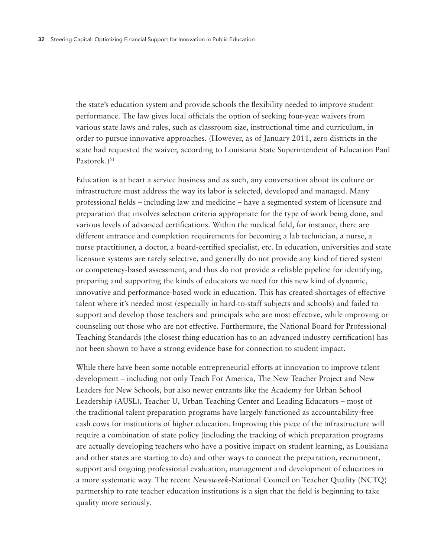the state's education system and provide schools the flexibility needed to improve student performance. The law gives local officials the option of seeking four-year waivers from various state laws and rules, such as classroom size, instructional time and curriculum, in order to pursue innovative approaches. (However, as of January 2011, zero districts in the state had requested the waiver, according to Louisiana State Superintendent of Education Paul Pastorek.)<sup>51</sup>

Education is at heart a service business and as such, any conversation about its culture or infrastructure must address the way its labor is selected, developed and managed. Many professional fields – including law and medicine – have a segmented system of licensure and preparation that involves selection criteria appropriate for the type of work being done, and various levels of advanced certifications. Within the medical field, for instance, there are different entrance and completion requirements for becoming a lab technician, a nurse, a nurse practitioner, a doctor, a board-certified specialist, etc. In education, universities and state licensure systems are rarely selective, and generally do not provide any kind of tiered system or competency-based assessment, and thus do not provide a reliable pipeline for identifying, preparing and supporting the kinds of educators we need for this new kind of dynamic, innovative and performance-based work in education. This has created shortages of effective talent where it's needed most (especially in hard-to-staff subjects and schools) and failed to support and develop those teachers and principals who are most effective, while improving or counseling out those who are not effective. Furthermore, the National Board for Professional Teaching Standards (the closest thing education has to an advanced industry certification) has not been shown to have a strong evidence base for connection to student impact.

While there have been some notable entrepreneurial efforts at innovation to improve talent development – including not only Teach For America, The New Teacher Project and New Leaders for New Schools, but also newer entrants like the Academy for Urban School Leadership (AUSL), Teacher U, Urban Teaching Center and Leading Educators – most of the traditional talent preparation programs have largely functioned as accountability-free cash cows for institutions of higher education. Improving this piece of the infrastructure will require a combination of state policy (including the tracking of which preparation programs are actually developing teachers who have a positive impact on student learning, as Louisiana and other states are starting to do) and other ways to connect the preparation, recruitment, support and ongoing professional evaluation, management and development of educators in a more systematic way. The recent *Newsweek*-National Council on Teacher Quality (NCTQ) partnership to rate teacher education institutions is a sign that the field is beginning to take quality more seriously.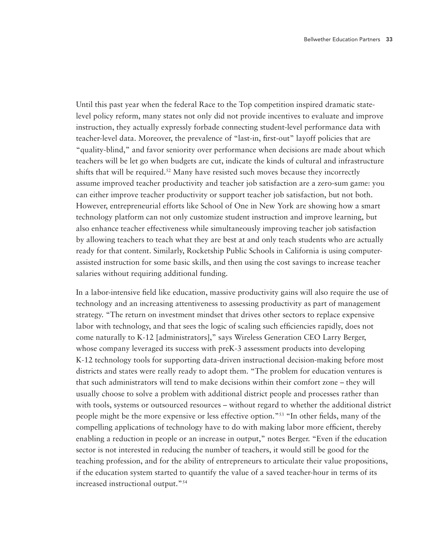Until this past year when the federal Race to the Top competition inspired dramatic statelevel policy reform, many states not only did not provide incentives to evaluate and improve instruction, they actually expressly forbade connecting student-level performance data with teacher-level data. Moreover, the prevalence of "last-in, first-out" layoff policies that are "quality-blind," and favor seniority over performance when decisions are made about which teachers will be let go when budgets are cut, indicate the kinds of cultural and infrastructure shifts that will be required.<sup>52</sup> Many have resisted such moves because they incorrectly assume improved teacher productivity and teacher job satisfaction are a zero-sum game: you can either improve teacher productivity or support teacher job satisfaction, but not both. However, entrepreneurial efforts like School of One in New York are showing how a smart technology platform can not only customize student instruction and improve learning, but also enhance teacher effectiveness while simultaneously improving teacher job satisfaction by allowing teachers to teach what they are best at and only teach students who are actually ready for that content. Similarly, Rocketship Public Schools in California is using computerassisted instruction for some basic skills, and then using the cost savings to increase teacher salaries without requiring additional funding.

In a labor-intensive field like education, massive productivity gains will also require the use of technology and an increasing attentiveness to assessing productivity as part of management strategy. "The return on investment mindset that drives other sectors to replace expensive labor with technology, and that sees the logic of scaling such efficiencies rapidly, does not come naturally to K-12 [administrators]," says Wireless Generation CEO Larry Berger, whose company leveraged its success with preK-3 assessment products into developing K-12 technology tools for supporting data-driven instructional decision-making before most districts and states were really ready to adopt them. "The problem for education ventures is that such administrators will tend to make decisions within their comfort zone – they will usually choose to solve a problem with additional district people and processes rather than with tools, systems or outsourced resources – without regard to whether the additional district people might be the more expensive or less effective option."53 "In other fields, many of the compelling applications of technology have to do with making labor more efficient, thereby enabling a reduction in people or an increase in output," notes Berger. "Even if the education sector is not interested in reducing the number of teachers, it would still be good for the teaching profession, and for the ability of entrepreneurs to articulate their value propositions, if the education system started to quantify the value of a saved teacher-hour in terms of its increased instructional output."54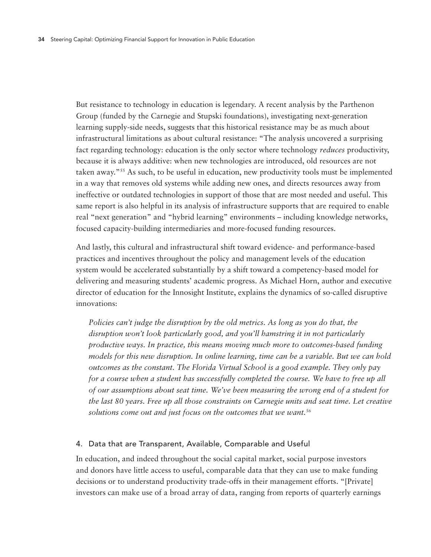But resistance to technology in education is legendary. A recent analysis by the Parthenon Group (funded by the Carnegie and Stupski foundations), investigating next-generation learning supply-side needs, suggests that this historical resistance may be as much about infrastructural limitations as about cultural resistance: "The analysis uncovered a surprising fact regarding technology: education is the only sector where technology *reduces* productivity, because it is always additive: when new technologies are introduced, old resources are not taken away."55 As such, to be useful in education, new productivity tools must be implemented in a way that removes old systems while adding new ones, and directs resources away from ineffective or outdated technologies in support of those that are most needed and useful. This same report is also helpful in its analysis of infrastructure supports that are required to enable real "next generation" and "hybrid learning" environments – including knowledge networks, focused capacity-building intermediaries and more-focused funding resources.

And lastly, this cultural and infrastructural shift toward evidence- and performance-based practices and incentives throughout the policy and management levels of the education system would be accelerated substantially by a shift toward a competency-based model for delivering and measuring students' academic progress. As Michael Horn, author and executive director of education for the Innosight Institute, explains the dynamics of so-called disruptive innovations:

*Policies can't judge the disruption by the old metrics. As long as you do that, the disruption won't look particularly good, and you'll hamstring it in not particularly productive ways. In practice, this means moving much more to outcomes-based funding models for this new disruption. In online learning, time can be a variable. But we can hold outcomes as the constant. The Florida Virtual School is a good example. They only pay for a course when a student has successfully completed the course. We have to free up all of our assumptions about seat time. We've been measuring the wrong end of a student for the last 80 years. Free up all those constraints on Carnegie units and seat time. Let creative solutions come out and just focus on the outcomes that we want.56*

#### 4. Data that are Transparent, Available, Comparable and Useful

In education, and indeed throughout the social capital market, social purpose investors and donors have little access to useful, comparable data that they can use to make funding decisions or to understand productivity trade-offs in their management efforts. "[Private] investors can make use of a broad array of data, ranging from reports of quarterly earnings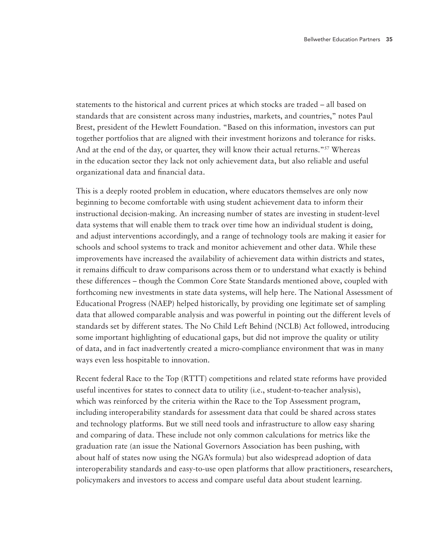statements to the historical and current prices at which stocks are traded – all based on standards that are consistent across many industries, markets, and countries," notes Paul Brest, president of the Hewlett Foundation. "Based on this information, investors can put together portfolios that are aligned with their investment horizons and tolerance for risks. And at the end of the day, or quarter, they will know their actual returns."<sup>57</sup> Whereas in the education sector they lack not only achievement data, but also reliable and useful organizational data and financial data.

This is a deeply rooted problem in education, where educators themselves are only now beginning to become comfortable with using student achievement data to inform their instructional decision-making. An increasing number of states are investing in student-level data systems that will enable them to track over time how an individual student is doing, and adjust interventions accordingly, and a range of technology tools are making it easier for schools and school systems to track and monitor achievement and other data. While these improvements have increased the availability of achievement data within districts and states, it remains difficult to draw comparisons across them or to understand what exactly is behind these differences – though the Common Core State Standards mentioned above, coupled with forthcoming new investments in state data systems, will help here. The National Assessment of Educational Progress (NAEP) helped historically, by providing one legitimate set of sampling data that allowed comparable analysis and was powerful in pointing out the different levels of standards set by different states. The No Child Left Behind (NCLB) Act followed, introducing some important highlighting of educational gaps, but did not improve the quality or utility of data, and in fact inadvertently created a micro-compliance environment that was in many ways even less hospitable to innovation.

Recent federal Race to the Top (RTTT) competitions and related state reforms have provided useful incentives for states to connect data to utility (i.e., student-to-teacher analysis), which was reinforced by the criteria within the Race to the Top Assessment program, including interoperability standards for assessment data that could be shared across states and technology platforms. But we still need tools and infrastructure to allow easy sharing and comparing of data. These include not only common calculations for metrics like the graduation rate (an issue the National Governors Association has been pushing, with about half of states now using the NGA's formula) but also widespread adoption of data interoperability standards and easy-to-use open platforms that allow practitioners, researchers, policymakers and investors to access and compare useful data about student learning.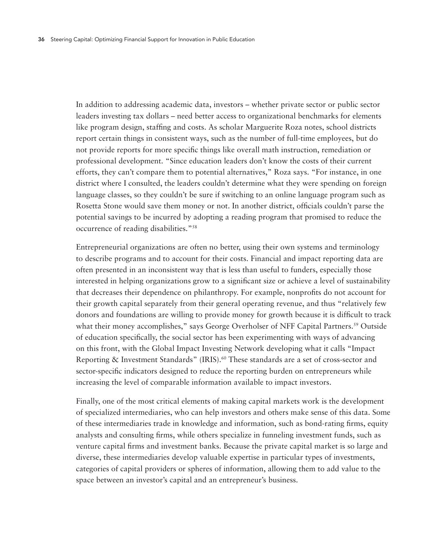In addition to addressing academic data, investors – whether private sector or public sector leaders investing tax dollars – need better access to organizational benchmarks for elements like program design, staffing and costs. As scholar Marguerite Roza notes, school districts report certain things in consistent ways, such as the number of full-time employees, but do not provide reports for more specific things like overall math instruction, remediation or professional development. "Since education leaders don't know the costs of their current efforts, they can't compare them to potential alternatives," Roza says. "For instance, in one district where I consulted, the leaders couldn't determine what they were spending on foreign language classes, so they couldn't be sure if switching to an online language program such as Rosetta Stone would save them money or not. In another district, officials couldn't parse the potential savings to be incurred by adopting a reading program that promised to reduce the occurrence of reading disabilities."58

Entrepreneurial organizations are often no better, using their own systems and terminology to describe programs and to account for their costs. Financial and impact reporting data are often presented in an inconsistent way that is less than useful to funders, especially those interested in helping organizations grow to a significant size or achieve a level of sustainability that decreases their dependence on philanthropy. For example, nonprofits do not account for their growth capital separately from their general operating revenue, and thus "relatively few donors and foundations are willing to provide money for growth because it is difficult to track what their money accomplishes," says George Overholser of NFF Capital Partners.<sup>59</sup> Outside of education specifically, the social sector has been experimenting with ways of advancing on this front, with the Global Impact Investing Network developing what it calls "Impact Reporting & Investment Standards" (IRIS).<sup>60</sup> These standards are a set of cross-sector and sector-specific indicators designed to reduce the reporting burden on entrepreneurs while increasing the level of comparable information available to impact investors.

Finally, one of the most critical elements of making capital markets work is the development of specialized intermediaries, who can help investors and others make sense of this data. Some of these intermediaries trade in knowledge and information, such as bond-rating firms, equity analysts and consulting firms, while others specialize in funneling investment funds, such as venture capital firms and investment banks. Because the private capital market is so large and diverse, these intermediaries develop valuable expertise in particular types of investments, categories of capital providers or spheres of information, allowing them to add value to the space between an investor's capital and an entrepreneur's business.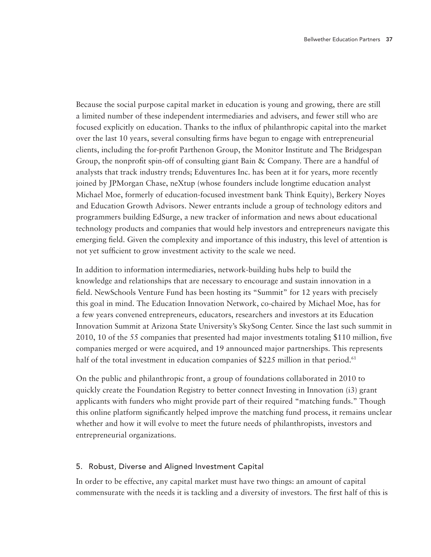Because the social purpose capital market in education is young and growing, there are still a limited number of these independent intermediaries and advisers, and fewer still who are focused explicitly on education. Thanks to the influx of philanthropic capital into the market over the last 10 years, several consulting firms have begun to engage with entrepreneurial clients, including the for-profit Parthenon Group, the Monitor Institute and The Bridgespan Group, the nonprofit spin-off of consulting giant Bain & Company. There are a handful of analysts that track industry trends; Eduventures Inc. has been at it for years, more recently joined by JPMorgan Chase, neXtup (whose founders include longtime education analyst Michael Moe, formerly of education-focused investment bank Think Equity), Berkery Noyes and Education Growth Advisors. Newer entrants include a group of technology editors and programmers building EdSurge, a new tracker of information and news about educational technology products and companies that would help investors and entrepreneurs navigate this emerging field. Given the complexity and importance of this industry, this level of attention is not yet sufficient to grow investment activity to the scale we need.

In addition to information intermediaries, network-building hubs help to build the knowledge and relationships that are necessary to encourage and sustain innovation in a field. NewSchools Venture Fund has been hosting its "Summit" for 12 years with precisely this goal in mind. The Education Innovation Network, co-chaired by Michael Moe, has for a few years convened entrepreneurs, educators, researchers and investors at its Education Innovation Summit at Arizona State University's SkySong Center. Since the last such summit in 2010, 10 of the 55 companies that presented had major investments totaling \$110 million, five companies merged or were acquired, and 19 announced major partnerships. This represents half of the total investment in education companies of \$225 million in that period.<sup>61</sup>

On the public and philanthropic front, a group of foundations collaborated in 2010 to quickly create the Foundation Registry to better connect Investing in Innovation (i3) grant applicants with funders who might provide part of their required "matching funds." Though this online platform significantly helped improve the matching fund process, it remains unclear whether and how it will evolve to meet the future needs of philanthropists, investors and entrepreneurial organizations.

## 5. Robust, Diverse and Aligned Investment Capital

In order to be effective, any capital market must have two things: an amount of capital commensurate with the needs it is tackling and a diversity of investors. The first half of this is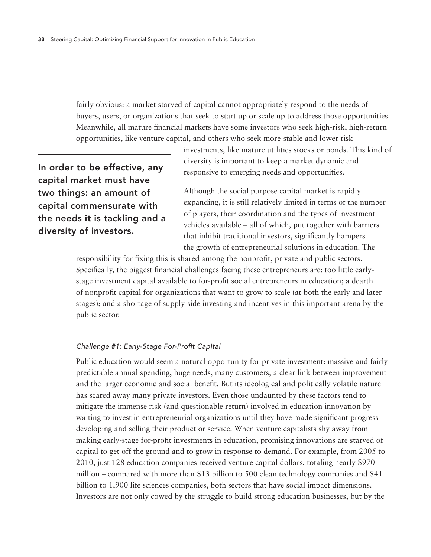fairly obvious: a market starved of capital cannot appropriately respond to the needs of buyers, users, or organizations that seek to start up or scale up to address those opportunities. Meanwhile, all mature financial markets have some investors who seek high-risk, high-return opportunities, like venture capital, and others who seek more-stable and lower-risk

In order to be effective, any capital market must have two things: an amount of capital commensurate with the needs it is tackling and a diversity of investors.

investments, like mature utilities stocks or bonds. This kind of diversity is important to keep a market dynamic and responsive to emerging needs and opportunities.

Although the social purpose capital market is rapidly expanding, it is still relatively limited in terms of the number of players, their coordination and the types of investment vehicles available – all of which, put together with barriers that inhibit traditional investors, significantly hampers the growth of entrepreneurial solutions in education. The

responsibility for fixing this is shared among the nonprofit, private and public sectors. Specifically, the biggest financial challenges facing these entrepreneurs are: too little earlystage investment capital available to for-profit social entrepreneurs in education; a dearth of nonprofit capital for organizations that want to grow to scale (at both the early and later stages); and a shortage of supply-side investing and incentives in this important arena by the public sector.

## *Challenge #1: Early-Stage For-Profit Capital*

Public education would seem a natural opportunity for private investment: massive and fairly predictable annual spending, huge needs, many customers, a clear link between improvement and the larger economic and social benefit. But its ideological and politically volatile nature has scared away many private investors. Even those undaunted by these factors tend to mitigate the immense risk (and questionable return) involved in education innovation by waiting to invest in entrepreneurial organizations until they have made significant progress developing and selling their product or service. When venture capitalists shy away from making early-stage for-profit investments in education, promising innovations are starved of capital to get off the ground and to grow in response to demand. For example, from 2005 to 2010, just 128 education companies received venture capital dollars, totaling nearly \$970 million – compared with more than \$13 billion to 500 clean technology companies and \$41 billion to 1,900 life sciences companies, both sectors that have social impact dimensions. Investors are not only cowed by the struggle to build strong education businesses, but by the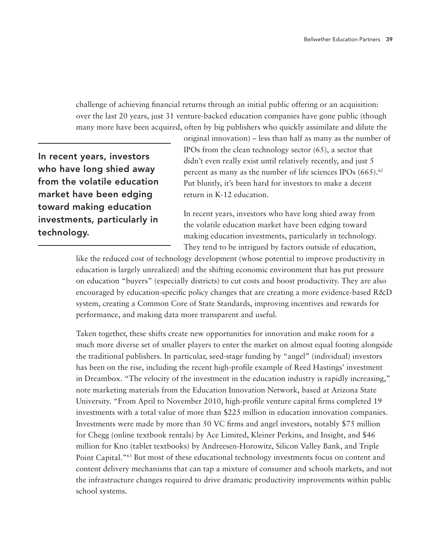challenge of achieving financial returns through an initial public offering or an acquisition: over the last 20 years, just 31 venture-backed education companies have gone public (though many more have been acquired, often by big publishers who quickly assimilate and dilute the

In recent years, investors who have long shied away from the volatile education market have been edging toward making education investments, particularly in technology.

original innovation) – less than half as many as the number of IPOs from the clean technology sector (65), a sector that didn't even really exist until relatively recently, and just 5 percent as many as the number of life sciences IPOs  $(665)$ .<sup>62</sup> Put bluntly, it's been hard for investors to make a decent return in K-12 education.

In recent years, investors who have long shied away from the volatile education market have been edging toward making education investments, particularly in technology. They tend to be intrigued by factors outside of education,

like the reduced cost of technology development (whose potential to improve productivity in education is largely unrealized) and the shifting economic environment that has put pressure on education "buyers" (especially districts) to cut costs and boost productivity. They are also encouraged by education-specific policy changes that are creating a more evidence-based R&D system, creating a Common Core of State Standards, improving incentives and rewards for performance, and making data more transparent and useful.

Taken together, these shifts create new opportunities for innovation and make room for a much more diverse set of smaller players to enter the market on almost equal footing alongside the traditional publishers. In particular, seed-stage funding by "angel" (individual) investors has been on the rise, including the recent high-profile example of Reed Hastings' investment in Dreambox. "The velocity of the investment in the education industry is rapidly increasing," note marketing materials from the Education Innovation Network, based at Arizona State University. "From April to November 2010, high-profile venture capital firms completed 19 investments with a total value of more than \$225 million in education innovation companies. Investments were made by more than 50 VC firms and angel investors, notably \$75 million for Chegg (online textbook rentals) by Ace Limited, Kleiner Perkins, and Insight, and \$46 million for Kno (tablet textbooks) by Andreesen-Horowitz, Silicon Valley Bank, and Triple Point Capital."63 But most of these educational technology investments focus on content and content delivery mechanisms that can tap a mixture of consumer and schools markets, and not the infrastructure changes required to drive dramatic productivity improvements within public school systems.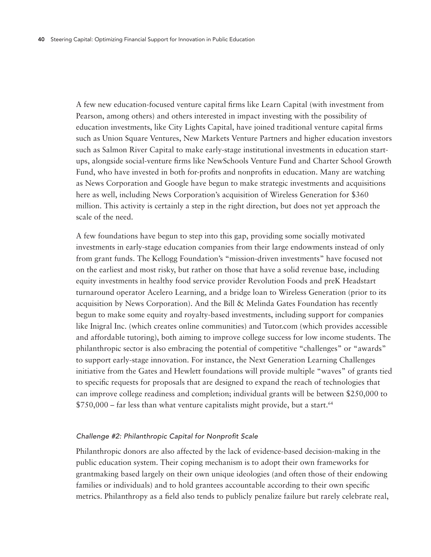A few new education-focused venture capital firms like Learn Capital (with investment from Pearson, among others) and others interested in impact investing with the possibility of education investments, like City Lights Capital, have joined traditional venture capital firms such as Union Square Ventures, New Markets Venture Partners and higher education investors such as Salmon River Capital to make early-stage institutional investments in education startups, alongside social-venture firms like NewSchools Venture Fund and Charter School Growth Fund, who have invested in both for-profits and nonprofits in education. Many are watching as News Corporation and Google have begun to make strategic investments and acquisitions here as well, including News Corporation's acquisition of Wireless Generation for \$360 million. This activity is certainly a step in the right direction, but does not yet approach the scale of the need.

A few foundations have begun to step into this gap, providing some socially motivated investments in early-stage education companies from their large endowments instead of only from grant funds. The Kellogg Foundation's "mission-driven investments" have focused not on the earliest and most risky, but rather on those that have a solid revenue base, including equity investments in healthy food service provider Revolution Foods and preK Headstart turnaround operator Acelero Learning, and a bridge loan to Wireless Generation (prior to its acquisition by News Corporation). And the Bill & Melinda Gates Foundation has recently begun to make some equity and royalty-based investments, including support for companies like Inigral Inc. (which creates online communities) and Tutor.com (which provides accessible and affordable tutoring), both aiming to improve college success for low income students. The philanthropic sector is also embracing the potential of competitive "challenges" or "awards" to support early-stage innovation. For instance, the Next Generation Learning Challenges initiative from the Gates and Hewlett foundations will provide multiple "waves" of grants tied to specific requests for proposals that are designed to expand the reach of technologies that can improve college readiness and completion; individual grants will be between \$250,000 to  $$750,000$  – far less than what venture capitalists might provide, but a start.<sup>64</sup>

#### *Challenge #2: Philanthropic Capital for Nonprofit Scale*

Philanthropic donors are also affected by the lack of evidence-based decision-making in the public education system. Their coping mechanism is to adopt their own frameworks for grantmaking based largely on their own unique ideologies (and often those of their endowing families or individuals) and to hold grantees accountable according to their own specific metrics. Philanthropy as a field also tends to publicly penalize failure but rarely celebrate real,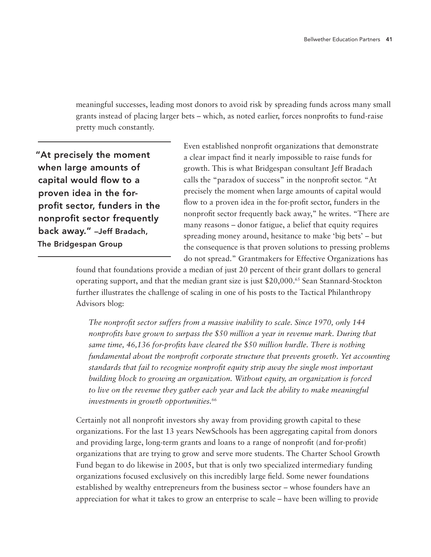meaningful successes, leading most donors to avoid risk by spreading funds across many small grants instead of placing larger bets – which, as noted earlier, forces nonprofits to fund-raise pretty much constantly.

"At precisely the moment when large amounts of capital would flow to a proven idea in the forprofit sector, funders in the nonprofit sector frequently back away." –Jeff Bradach, The Bridgespan Group

Even established nonprofit organizations that demonstrate a clear impact find it nearly impossible to raise funds for growth. This is what Bridgespan consultant Jeff Bradach calls the "paradox of success" in the nonprofit sector. "At precisely the moment when large amounts of capital would flow to a proven idea in the for-profit sector, funders in the nonprofit sector frequently back away," he writes. "There are many reasons – donor fatigue, a belief that equity requires spreading money around, hesitance to make 'big bets' – but the consequence is that proven solutions to pressing problems do not spread." Grantmakers for Effective Organizations has

found that foundations provide a median of just 20 percent of their grant dollars to general operating support, and that the median grant size is just \$20,000.65 Sean Stannard-Stockton further illustrates the challenge of scaling in one of his posts to the Tactical Philanthropy Advisors blog:

*The nonprofit sector suffers from a massive inability to scale. Since 1970, only 144 nonprofits have grown to surpass the \$50 million a year in revenue mark. During that same time, 46,136 for-profits have cleared the \$50 million hurdle. There is nothing fundamental about the nonprofit corporate structure that prevents growth. Yet accounting standards that fail to recognize nonprofit equity strip away the single most important building block to growing an organization. Without equity, an organization is forced*  to live on the revenue they gather each year and lack the ability to make meaningful *investments in growth opportunities.66*

Certainly not all nonprofit investors shy away from providing growth capital to these organizations. For the last 13 years NewSchools has been aggregating capital from donors and providing large, long-term grants and loans to a range of nonprofit (and for-profit) organizations that are trying to grow and serve more students. The Charter School Growth Fund began to do likewise in 2005, but that is only two specialized intermediary funding organizations focused exclusively on this incredibly large field. Some newer foundations established by wealthy entrepreneurs from the business sector – whose founders have an appreciation for what it takes to grow an enterprise to scale – have been willing to provide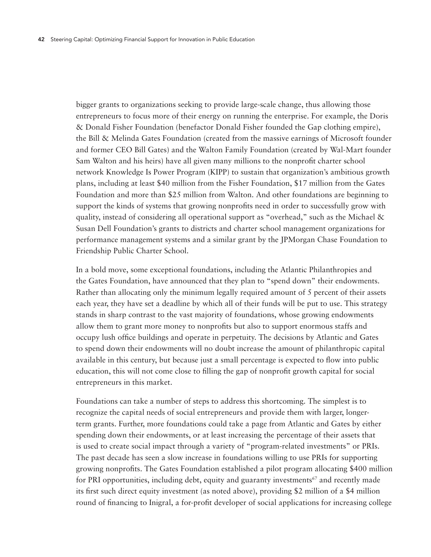bigger grants to organizations seeking to provide large-scale change, thus allowing those entrepreneurs to focus more of their energy on running the enterprise. For example, the Doris & Donald Fisher Foundation (benefactor Donald Fisher founded the Gap clothing empire), the Bill & Melinda Gates Foundation (created from the massive earnings of Microsoft founder and former CEO Bill Gates) and the Walton Family Foundation (created by Wal-Mart founder Sam Walton and his heirs) have all given many millions to the nonprofit charter school network Knowledge Is Power Program (KIPP) to sustain that organization's ambitious growth plans, including at least \$40 million from the Fisher Foundation, \$17 million from the Gates Foundation and more than \$25 million from Walton. And other foundations are beginning to support the kinds of systems that growing nonprofits need in order to successfully grow with quality, instead of considering all operational support as "overhead," such as the Michael  $\&$ Susan Dell Foundation's grants to districts and charter school management organizations for performance management systems and a similar grant by the JPMorgan Chase Foundation to Friendship Public Charter School.

In a bold move, some exceptional foundations, including the Atlantic Philanthropies and the Gates Foundation, have announced that they plan to "spend down" their endowments. Rather than allocating only the minimum legally required amount of 5 percent of their assets each year, they have set a deadline by which all of their funds will be put to use. This strategy stands in sharp contrast to the vast majority of foundations, whose growing endowments allow them to grant more money to nonprofits but also to support enormous staffs and occupy lush office buildings and operate in perpetuity. The decisions by Atlantic and Gates to spend down their endowments will no doubt increase the amount of philanthropic capital available in this century, but because just a small percentage is expected to flow into public education, this will not come close to filling the gap of nonprofit growth capital for social entrepreneurs in this market.

Foundations can take a number of steps to address this shortcoming. The simplest is to recognize the capital needs of social entrepreneurs and provide them with larger, longerterm grants. Further, more foundations could take a page from Atlantic and Gates by either spending down their endowments, or at least increasing the percentage of their assets that is used to create social impact through a variety of "program-related investments" or PRIs. The past decade has seen a slow increase in foundations willing to use PRIs for supporting growing nonprofits. The Gates Foundation established a pilot program allocating \$400 million for PRI opportunities, including debt, equity and guaranty investments<sup>67</sup> and recently made its first such direct equity investment (as noted above), providing \$2 million of a \$4 million round of financing to Inigral, a for-profit developer of social applications for increasing college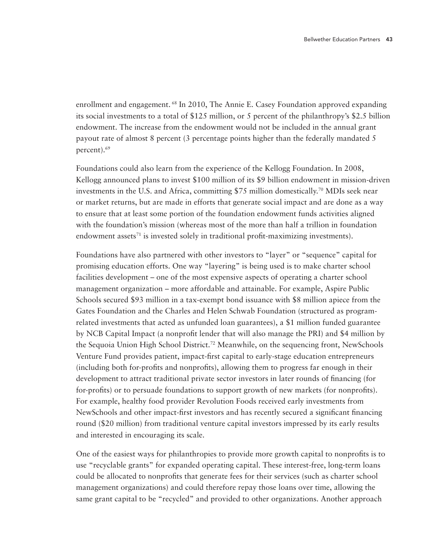enrollment and engagement. <sup>68</sup> In 2010, The Annie E. Casey Foundation approved expanding its social investments to a total of \$125 million, or 5 percent of the philanthropy's \$2.5 billion endowment. The increase from the endowment would not be included in the annual grant payout rate of almost 8 percent (3 percentage points higher than the federally mandated 5 percent).69

Foundations could also learn from the experience of the Kellogg Foundation. In 2008, Kellogg announced plans to invest \$100 million of its \$9 billion endowment in mission-driven investments in the U.S. and Africa, committing \$75 million domestically.70 MDIs seek near or market returns, but are made in efforts that generate social impact and are done as a way to ensure that at least some portion of the foundation endowment funds activities aligned with the foundation's mission (whereas most of the more than half a trillion in foundation endowment assets $71$  is invested solely in traditional profit-maximizing investments).

Foundations have also partnered with other investors to "layer" or "sequence" capital for promising education efforts. One way "layering" is being used is to make charter school facilities development – one of the most expensive aspects of operating a charter school management organization – more affordable and attainable. For example, Aspire Public Schools secured \$93 million in a tax-exempt bond issuance with \$8 million apiece from the Gates Foundation and the Charles and Helen Schwab Foundation (structured as programrelated investments that acted as unfunded loan guarantees), a \$1 million funded guarantee by NCB Capital Impact (a nonprofit lender that will also manage the PRI) and \$4 million by the Sequoia Union High School District.72 Meanwhile, on the sequencing front, NewSchools Venture Fund provides patient, impact-first capital to early-stage education entrepreneurs (including both for-profits and nonprofits), allowing them to progress far enough in their development to attract traditional private sector investors in later rounds of financing (for for-profits) or to persuade foundations to support growth of new markets (for nonprofits). For example, healthy food provider Revolution Foods received early investments from NewSchools and other impact-first investors and has recently secured a significant financing round (\$20 million) from traditional venture capital investors impressed by its early results and interested in encouraging its scale.

One of the easiest ways for philanthropies to provide more growth capital to nonprofits is to use "recyclable grants" for expanded operating capital. These interest-free, long-term loans could be allocated to nonprofits that generate fees for their services (such as charter school management organizations) and could therefore repay those loans over time, allowing the same grant capital to be "recycled" and provided to other organizations. Another approach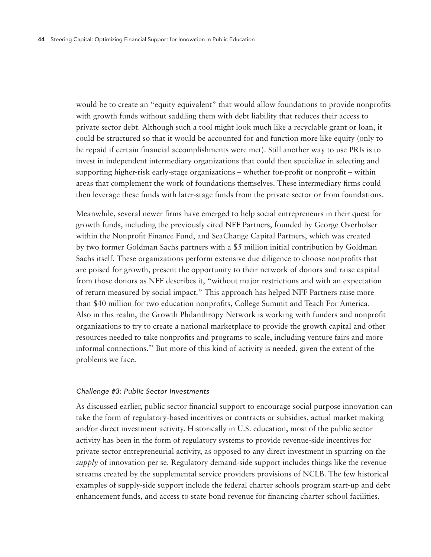would be to create an "equity equivalent" that would allow foundations to provide nonprofits with growth funds without saddling them with debt liability that reduces their access to private sector debt. Although such a tool might look much like a recyclable grant or loan, it could be structured so that it would be accounted for and function more like equity (only to be repaid if certain financial accomplishments were met). Still another way to use PRIs is to invest in independent intermediary organizations that could then specialize in selecting and supporting higher-risk early-stage organizations – whether for-profit or nonprofit – within areas that complement the work of foundations themselves. These intermediary firms could then leverage these funds with later-stage funds from the private sector or from foundations.

Meanwhile, several newer firms have emerged to help social entrepreneurs in their quest for growth funds, including the previously cited NFF Partners, founded by George Overholser within the Nonprofit Finance Fund, and SeaChange Capital Partners, which was created by two former Goldman Sachs partners with a \$5 million initial contribution by Goldman Sachs itself. These organizations perform extensive due diligence to choose nonprofits that are poised for growth, present the opportunity to their network of donors and raise capital from those donors as NFF describes it, "without major restrictions and with an expectation of return measured by social impact." This approach has helped NFF Partners raise more than \$40 million for two education nonprofits, College Summit and Teach For America. Also in this realm, the Growth Philanthropy Network is working with funders and nonprofit organizations to try to create a national marketplace to provide the growth capital and other resources needed to take nonprofits and programs to scale, including venture fairs and more informal connections.73 But more of this kind of activity is needed, given the extent of the problems we face.

#### *Challenge #3: Public Sector Investments*

As discussed earlier, public sector financial support to encourage social purpose innovation can take the form of regulatory-based incentives or contracts or subsidies, actual market making and/or direct investment activity. Historically in U.S. education, most of the public sector activity has been in the form of regulatory systems to provide revenue-side incentives for private sector entrepreneurial activity, as opposed to any direct investment in spurring on the *supply* of innovation per se. Regulatory demand-side support includes things like the revenue streams created by the supplemental service providers provisions of NCLB. The few historical examples of supply-side support include the federal charter schools program start-up and debt enhancement funds, and access to state bond revenue for financing charter school facilities.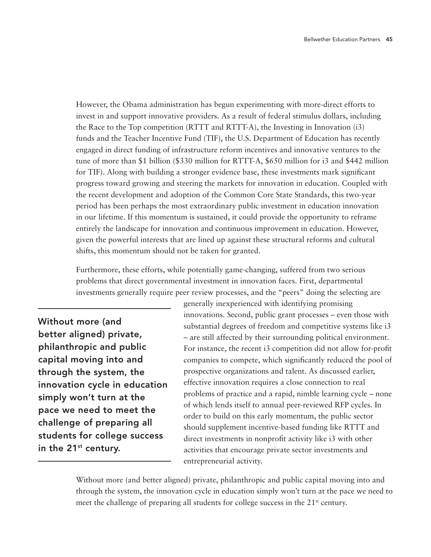However, the Obama administration has begun experimenting with more-direct efforts to invest in and support innovative providers. As a result of federal stimulus dollars, including the Race to the Top competition (RTTT and RTTT-A), the Investing in Innovation (i3) funds and the Teacher Incentive Fund (TIF), the U.S. Department of Education has recently engaged in direct funding of infrastructure reform incentives and innovative ventures to the tune of more than \$1 billion (\$330 million for RTTT-A, \$650 million for i3 and \$442 million for TIF). Along with building a stronger evidence base, these investments mark significant progress toward growing and steering the markets for innovation in education. Coupled with the recent development and adoption of the Common Core State Standards, this two-year period has been perhaps the most extraordinary public investment in education innovation in our lifetime. If this momentum is sustained, it could provide the opportunity to reframe entirely the landscape for innovation and continuous improvement in education. However, given the powerful interests that are lined up against these structural reforms and cultural shifts, this momentum should not be taken for granted.

Furthermore, these efforts, while potentially game-changing, suffered from two serious problems that direct governmental investment in innovation faces. First, departmental investments generally require peer review processes, and the "peers" doing the selecting are

Without more (and better aligned) private, philanthropic and public capital moving into and through the system, the innovation cycle in education simply won't turn at the pace we need to meet the challenge of preparing all students for college success in the  $21^{st}$  century.

generally inexperienced with identifying promising innovations. Second, public grant processes – even those with substantial degrees of freedom and competitive systems like i3 – are still affected by their surrounding political environment. For instance, the recent i3 competition did not allow for-profit companies to compete, which significantly reduced the pool of prospective organizations and talent. As discussed earlier, effective innovation requires a close connection to real problems of practice and a rapid, nimble learning cycle – none of which lends itself to annual peer-reviewed RFP cycles. In order to build on this early momentum, the public sector should supplement incentive-based funding like RTTT and direct investments in nonprofit activity like i3 with other activities that encourage private sector investments and entrepreneurial activity.

Without more (and better aligned) private, philanthropic and public capital moving into and through the system, the innovation cycle in education simply won't turn at the pace we need to meet the challenge of preparing all students for college success in the 21<sup>st</sup> century.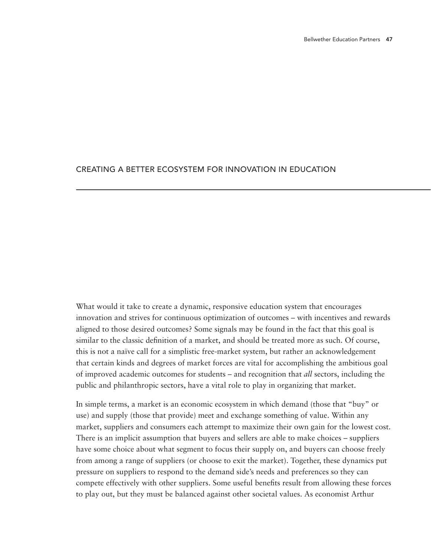## Creating a better ecosystem for innovation in education

What would it take to create a dynamic, responsive education system that encourages innovation and strives for continuous optimization of outcomes – with incentives and rewards aligned to those desired outcomes? Some signals may be found in the fact that this goal is similar to the classic definition of a market, and should be treated more as such. Of course, this is not a naïve call for a simplistic free-market system, but rather an acknowledgement that certain kinds and degrees of market forces are vital for accomplishing the ambitious goal of improved academic outcomes for students – and recognition that *all* sectors, including the public and philanthropic sectors, have a vital role to play in organizing that market.

In simple terms, a market is an economic ecosystem in which demand (those that "buy" or use) and supply (those that provide) meet and exchange something of value. Within any market, suppliers and consumers each attempt to maximize their own gain for the lowest cost. There is an implicit assumption that buyers and sellers are able to make choices – suppliers have some choice about what segment to focus their supply on, and buyers can choose freely from among a range of suppliers (or choose to exit the market). Together, these dynamics put pressure on suppliers to respond to the demand side's needs and preferences so they can compete effectively with other suppliers. Some useful benefits result from allowing these forces to play out, but they must be balanced against other societal values. As economist Arthur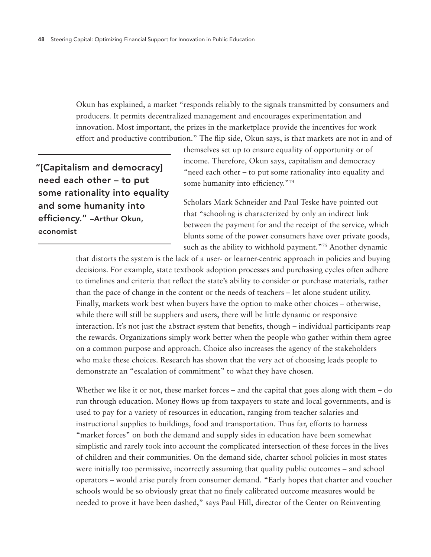Okun has explained, a market "responds reliably to the signals transmitted by consumers and producers. It permits decentralized management and encourages experimentation and innovation. Most important, the prizes in the marketplace provide the incentives for work effort and productive contribution." The flip side, Okun says, is that markets are not in and of

"[Capitalism and democracy] need each other – to put some rationality into equality and some humanity into efficiency." –Arthur Okun, economist

themselves set up to ensure equality of opportunity or of income. Therefore, Okun says, capitalism and democracy "need each other – to put some rationality into equality and some humanity into efficiency."74

Scholars Mark Schneider and Paul Teske have pointed out that "schooling is characterized by only an indirect link between the payment for and the receipt of the service, which blunts some of the power consumers have over private goods, such as the ability to withhold payment."<sup>75</sup> Another dynamic

that distorts the system is the lack of a user- or learner-centric approach in policies and buying decisions. For example, state textbook adoption processes and purchasing cycles often adhere to timelines and criteria that reflect the state's ability to consider or purchase materials, rather than the pace of change in the content or the needs of teachers – let alone student utility. Finally, markets work best when buyers have the option to make other choices – otherwise, while there will still be suppliers and users, there will be little dynamic or responsive interaction. It's not just the abstract system that benefits, though – individual participants reap the rewards. Organizations simply work better when the people who gather within them agree on a common purpose and approach. Choice also increases the agency of the stakeholders who make these choices. Research has shown that the very act of choosing leads people to demonstrate an "escalation of commitment" to what they have chosen.

Whether we like it or not, these market forces – and the capital that goes along with them – do run through education. Money flows up from taxpayers to state and local governments, and is used to pay for a variety of resources in education, ranging from teacher salaries and instructional supplies to buildings, food and transportation. Thus far, efforts to harness "market forces" on both the demand and supply sides in education have been somewhat simplistic and rarely took into account the complicated intersection of these forces in the lives of children and their communities. On the demand side, charter school policies in most states were initially too permissive, incorrectly assuming that quality public outcomes – and school operators – would arise purely from consumer demand. "Early hopes that charter and voucher schools would be so obviously great that no finely calibrated outcome measures would be needed to prove it have been dashed," says Paul Hill, director of the Center on Reinventing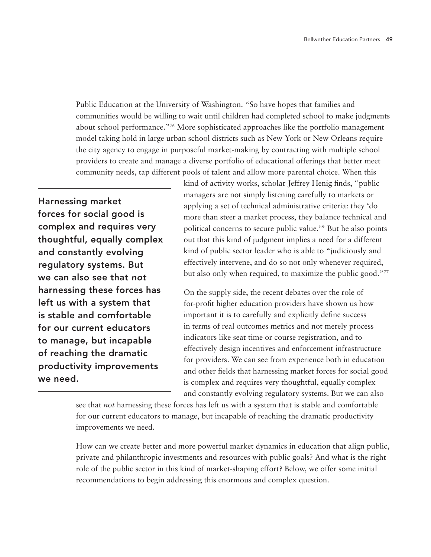Public Education at the University of Washington. "So have hopes that families and communities would be willing to wait until children had completed school to make judgments about school performance."76 More sophisticated approaches like the portfolio management model taking hold in large urban school districts such as New York or New Orleans require the city agency to engage in purposeful market-making by contracting with multiple school providers to create and manage a diverse portfolio of educational offerings that better meet community needs, tap different pools of talent and allow more parental choice. When this

Harnessing market forces for social good is complex and requires very thoughtful, equally complex and constantly evolving regulatory systems. But we can also see that *not* harnessing these forces has left us with a system that is stable and comfortable for our current educators to manage, but incapable of reaching the dramatic productivity improvements we need.

kind of activity works, scholar Jeffrey Henig finds, "public managers are not simply listening carefully to markets or applying a set of technical administrative criteria: they 'do more than steer a market process, they balance technical and political concerns to secure public value.'" But he also points out that this kind of judgment implies a need for a different kind of public sector leader who is able to "judiciously and effectively intervene, and do so not only whenever required, but also only when required, to maximize the public good."<sup>77</sup>

On the supply side, the recent debates over the role of for-profit higher education providers have shown us how important it is to carefully and explicitly define success in terms of real outcomes metrics and not merely process indicators like seat time or course registration, and to effectively design incentives and enforcement infrastructure for providers. We can see from experience both in education and other fields that harnessing market forces for social good is complex and requires very thoughtful, equally complex and constantly evolving regulatory systems. But we can also

How can we create better and more powerful market dynamics in education that align public, private and philanthropic investments and resources with public goals? And what is the right role of the public sector in this kind of market-shaping effort? Below, we offer some initial recommendations to begin addressing this enormous and complex question.

see that *not* harnessing these forces has left us with a system that is stable and comfortable for our current educators to manage, but incapable of reaching the dramatic productivity improvements we need.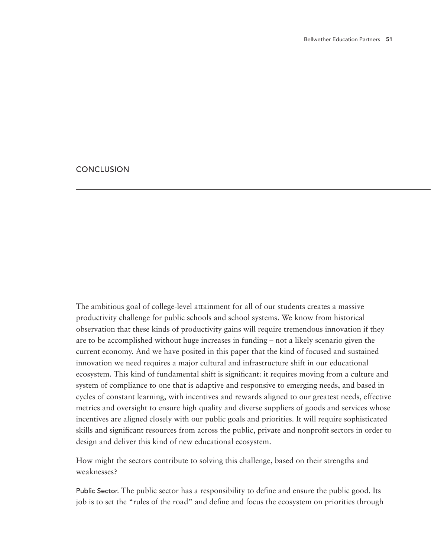## **CONCLUSION**

The ambitious goal of college-level attainment for all of our students creates a massive productivity challenge for public schools and school systems. We know from historical observation that these kinds of productivity gains will require tremendous innovation if they are to be accomplished without huge increases in funding – not a likely scenario given the current economy. And we have posited in this paper that the kind of focused and sustained innovation we need requires a major cultural and infrastructure shift in our educational ecosystem. This kind of fundamental shift is significant: it requires moving from a culture and system of compliance to one that is adaptive and responsive to emerging needs, and based in cycles of constant learning, with incentives and rewards aligned to our greatest needs, effective metrics and oversight to ensure high quality and diverse suppliers of goods and services whose incentives are aligned closely with our public goals and priorities. It will require sophisticated skills and significant resources from across the public, private and nonprofit sectors in order to design and deliver this kind of new educational ecosystem.

How might the sectors contribute to solving this challenge, based on their strengths and weaknesses?

Public Sector. The public sector has a responsibility to define and ensure the public good. Its job is to set the "rules of the road" and define and focus the ecosystem on priorities through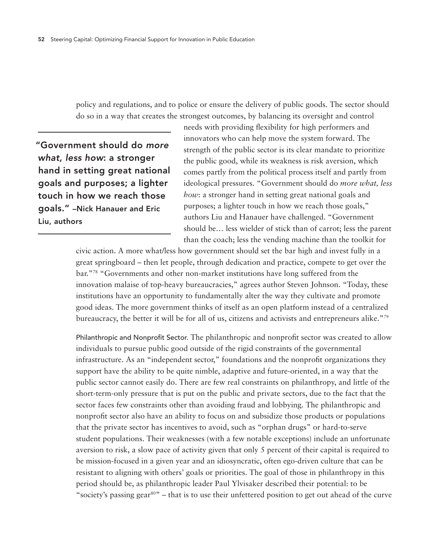policy and regulations, and to police or ensure the delivery of public goods. The sector should do so in a way that creates the strongest outcomes, by balancing its oversight and control

"Government should do *more what, less how*: a stronger hand in setting great national goals and purposes; a lighter touch in how we reach those goals." –Nick Hanauer and Eric Liu, authors

needs with providing flexibility for high performers and innovators who can help move the system forward. The strength of the public sector is its clear mandate to prioritize the public good, while its weakness is risk aversion, which comes partly from the political process itself and partly from ideological pressures. "Government should do *more what, less how*: a stronger hand in setting great national goals and purposes; a lighter touch in how we reach those goals," authors Liu and Hanauer have challenged. "Government should be… less wielder of stick than of carrot; less the parent than the coach; less the vending machine than the toolkit for

civic action. A more what/less how government should set the bar high and invest fully in a great springboard – then let people, through dedication and practice, compete to get over the bar."78 "Governments and other non-market institutions have long suffered from the innovation malaise of top-heavy bureaucracies," agrees author Steven Johnson. "Today, these institutions have an opportunity to fundamentally alter the way they cultivate and promote good ideas. The more government thinks of itself as an open platform instead of a centralized bureaucracy, the better it will be for all of us, citizens and activists and entrepreneurs alike."79

Philanthropic and Nonprofit Sector. The philanthropic and nonprofit sector was created to allow individuals to pursue public good outside of the rigid constraints of the governmental infrastructure. As an "independent sector," foundations and the nonprofit organizations they support have the ability to be quite nimble, adaptive and future-oriented, in a way that the public sector cannot easily do. There are few real constraints on philanthropy, and little of the short-term-only pressure that is put on the public and private sectors, due to the fact that the sector faces few constraints other than avoiding fraud and lobbying. The philanthropic and nonprofit sector also have an ability to focus on and subsidize those products or populations that the private sector has incentives to avoid, such as "orphan drugs" or hard-to-serve student populations. Their weaknesses (with a few notable exceptions) include an unfortunate aversion to risk, a slow pace of activity given that only 5 percent of their capital is required to be mission-focused in a given year and an idiosyncratic, often ego-driven culture that can be resistant to aligning with others' goals or priorities. The goal of those in philanthropy in this period should be, as philanthropic leader Paul Ylvisaker described their potential: to be "society's passing gear<sup>80"</sup> – that is to use their unfettered position to get out ahead of the curve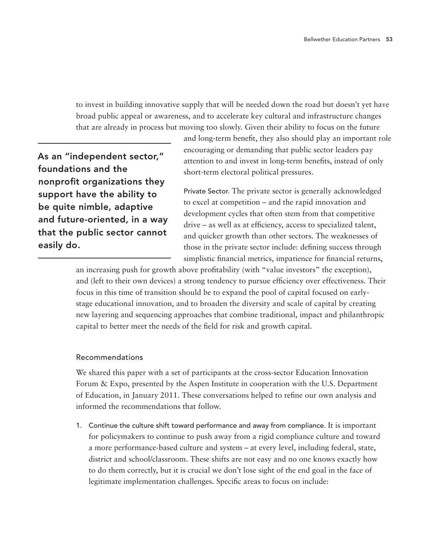to invest in building innovative supply that will be needed down the road but doesn't yet have broad public appeal or awareness, and to accelerate key cultural and infrastructure changes that are already in process but moving too slowly. Given their ability to focus on the future

As an "independent sector," foundations and the nonprofit organizations they support have the ability to be quite nimble, adaptive and future-oriented, in a way that the public sector cannot easily do.

and long-term benefit, they also should play an important role encouraging or demanding that public sector leaders pay attention to and invest in long-term benefits, instead of only short-term electoral political pressures.

Private Sector. The private sector is generally acknowledged to excel at competition – and the rapid innovation and development cycles that often stem from that competitive drive – as well as at efficiency, access to specialized talent, and quicker growth than other sectors. The weaknesses of those in the private sector include: defining success through simplistic financial metrics, impatience for financial returns,

an increasing push for growth above profitability (with "value investors" the exception), and (left to their own devices) a strong tendency to pursue efficiency over effectiveness. Their focus in this time of transition should be to expand the pool of capital focused on earlystage educational innovation, and to broaden the diversity and scale of capital by creating new layering and sequencing approaches that combine traditional, impact and philanthropic capital to better meet the needs of the field for risk and growth capital.

## Recommendations

We shared this paper with a set of participants at the cross-sector Education Innovation Forum & Expo, presented by the Aspen Institute in cooperation with the U.S. Department of Education, in January 2011. These conversations helped to refine our own analysis and informed the recommendations that follow.

1. Continue the culture shift toward performance and away from compliance. It is important for policymakers to continue to push away from a rigid compliance culture and toward a more performance-based culture and system – at every level, including federal, state, district and school/classroom. These shifts are not easy and no one knows exactly how to do them correctly, but it is crucial we don't lose sight of the end goal in the face of legitimate implementation challenges. Specific areas to focus on include: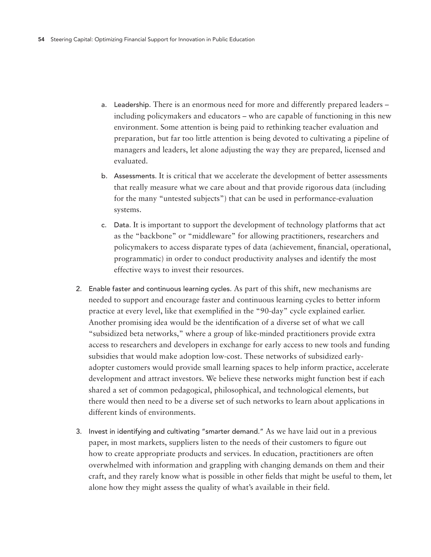- a. Leadership. There is an enormous need for more and differently prepared leaders including policymakers and educators – who are capable of functioning in this new environment. Some attention is being paid to rethinking teacher evaluation and preparation, but far too little attention is being devoted to cultivating a pipeline of managers and leaders, let alone adjusting the way they are prepared, licensed and evaluated.
- b. Assessments. It is critical that we accelerate the development of better assessments that really measure what we care about and that provide rigorous data (including for the many "untested subjects") that can be used in performance-evaluation systems.
- c. Data. It is important to support the development of technology platforms that act as the "backbone" or "middleware" for allowing practitioners, researchers and policymakers to access disparate types of data (achievement, financial, operational, programmatic) in order to conduct productivity analyses and identify the most effective ways to invest their resources.
- 2. Enable faster and continuous learning cycles. As part of this shift, new mechanisms are needed to support and encourage faster and continuous learning cycles to better inform practice at every level, like that exemplified in the "90-day" cycle explained earlier. Another promising idea would be the identification of a diverse set of what we call "subsidized beta networks," where a group of like-minded practitioners provide extra access to researchers and developers in exchange for early access to new tools and funding subsidies that would make adoption low-cost. These networks of subsidized earlyadopter customers would provide small learning spaces to help inform practice, accelerate development and attract investors. We believe these networks might function best if each shared a set of common pedagogical, philosophical, and technological elements, but there would then need to be a diverse set of such networks to learn about applications in different kinds of environments.
- 3. Invest in identifying and cultivating "smarter demand." As we have laid out in a previous paper, in most markets, suppliers listen to the needs of their customers to figure out how to create appropriate products and services. In education, practitioners are often overwhelmed with information and grappling with changing demands on them and their craft, and they rarely know what is possible in other fields that might be useful to them, let alone how they might assess the quality of what's available in their field.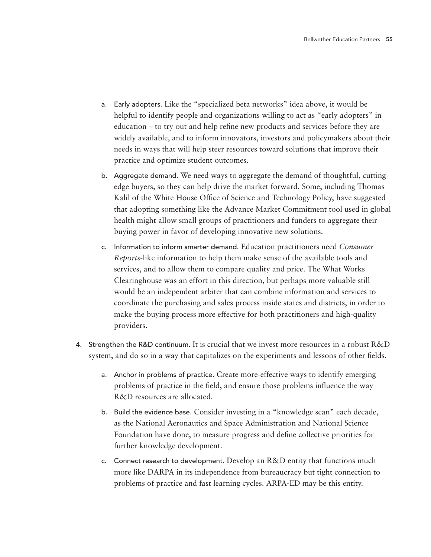- a. Early adopters. Like the "specialized beta networks" idea above, it would be helpful to identify people and organizations willing to act as "early adopters" in education – to try out and help refine new products and services before they are widely available, and to inform innovators, investors and policymakers about their needs in ways that will help steer resources toward solutions that improve their practice and optimize student outcomes.
- b. Aggregate demand. We need ways to aggregate the demand of thoughtful, cuttingedge buyers, so they can help drive the market forward. Some, including Thomas Kalil of the White House Office of Science and Technology Policy, have suggested that adopting something like the Advance Market Commitment tool used in global health might allow small groups of practitioners and funders to aggregate their buying power in favor of developing innovative new solutions.
- c. Information to inform smarter demand. Education practitioners need *Consumer Reports*-like information to help them make sense of the available tools and services, and to allow them to compare quality and price. The What Works Clearinghouse was an effort in this direction, but perhaps more valuable still would be an independent arbiter that can combine information and services to coordinate the purchasing and sales process inside states and districts, in order to make the buying process more effective for both practitioners and high-quality providers.
- 4. Strengthen the R&D continuum. It is crucial that we invest more resources in a robust R&D system, and do so in a way that capitalizes on the experiments and lessons of other fields.
	- a. Anchor in problems of practice. Create more-effective ways to identify emerging problems of practice in the field, and ensure those problems influence the way R&D resources are allocated.
	- b. Build the evidence base. Consider investing in a "knowledge scan" each decade, as the National Aeronautics and Space Administration and National Science Foundation have done, to measure progress and define collective priorities for further knowledge development.
	- c. Connect research to development. Develop an R&D entity that functions much more like DARPA in its independence from bureaucracy but tight connection to problems of practice and fast learning cycles. ARPA-ED may be this entity.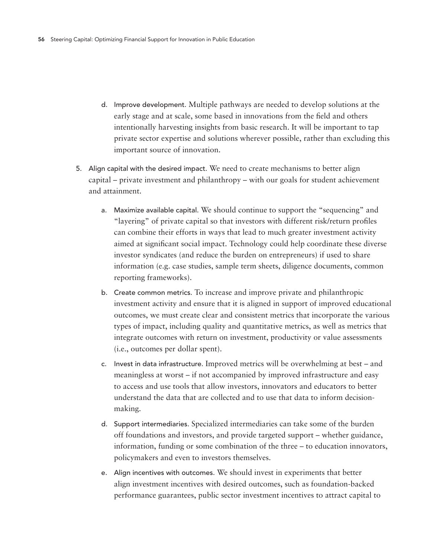- d. Improve development. Multiple pathways are needed to develop solutions at the early stage and at scale, some based in innovations from the field and others intentionally harvesting insights from basic research. It will be important to tap private sector expertise and solutions wherever possible, rather than excluding this important source of innovation.
- 5. Align capital with the desired impact. We need to create mechanisms to better align capital – private investment and philanthropy – with our goals for student achievement and attainment.
	- a. Maximize available capital. We should continue to support the "sequencing" and "layering" of private capital so that investors with different risk/return profiles can combine their efforts in ways that lead to much greater investment activity aimed at significant social impact. Technology could help coordinate these diverse investor syndicates (and reduce the burden on entrepreneurs) if used to share information (e.g. case studies, sample term sheets, diligence documents, common reporting frameworks).
	- b. Create common metrics. To increase and improve private and philanthropic investment activity and ensure that it is aligned in support of improved educational outcomes, we must create clear and consistent metrics that incorporate the various types of impact, including quality and quantitative metrics, as well as metrics that integrate outcomes with return on investment, productivity or value assessments (i.e., outcomes per dollar spent).
	- c. Invest in data infrastructure. Improved metrics will be overwhelming at best and meaningless at worst – if not accompanied by improved infrastructure and easy to access and use tools that allow investors, innovators and educators to better understand the data that are collected and to use that data to inform decisionmaking.
	- d. Support intermediaries. Specialized intermediaries can take some of the burden off foundations and investors, and provide targeted support – whether guidance, information, funding or some combination of the three – to education innovators, policymakers and even to investors themselves.
	- e. Align incentives with outcomes. We should invest in experiments that better align investment incentives with desired outcomes, such as foundation-backed performance guarantees, public sector investment incentives to attract capital to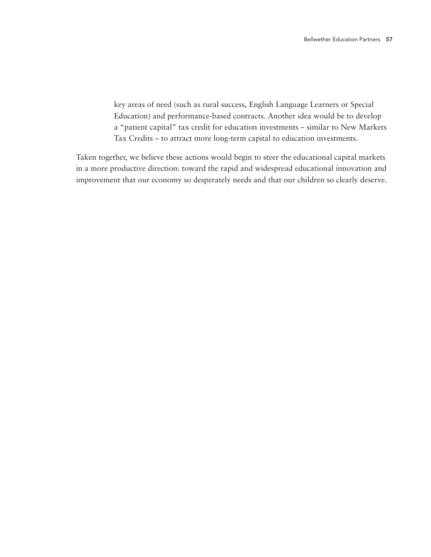key areas of need (such as rural success, English Language Learners or Special Education) and performance-based contracts. Another idea would be to develop a "patient capital" tax credit for education investments – similar to New Markets Tax Credits – to attract more long-term capital to education investments.

Taken together, we believe these actions would begin to steer the educational capital markets in a more productive direction: toward the rapid and widespread educational innovation and improvement that our economy so desperately needs and that our children so clearly deserve.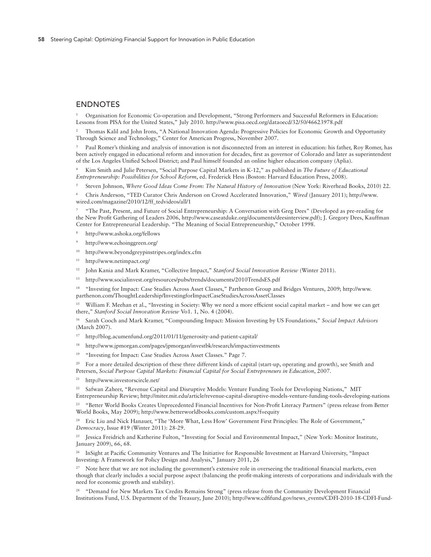#### **ENDNOTES**

<sup>1</sup> Organisation for Economic Co-operation and Development, "Strong Performers and Successful Reformers in Education: Lessons from PISA for the United States," July 2010. http://www.pisa.oecd.org/dataoecd/32/50/46623978.pdf

<sup>2</sup> Thomas Kalil and John Irons, "A National Innovation Agenda: Progressive Policies for Economic Growth and Opportunity Through Science and Technology," Center for American Progress, November 2007.

<sup>3</sup> Paul Romer's thinking and analysis of innovation is not disconnected from an interest in education: his father, Roy Romer, has been actively engaged in educational reform and innovation for decades, first as governor of Colorado and later as superintendent of the Los Angeles Unified School District; and Paul himself founded an online higher education company (Aplia).

<sup>4</sup> Kim Smith and Julie Petersen, "Social Purpose Capital Markets in K-12," as published in *The Future of Educational Entrepreneurship: Possibilities for School Reform*, ed. Frederick Hess (Boston: Harvard Education Press, 2008).

<sup>5</sup> Steven Johnson, *Where Good Ideas Come From: The Natural History of Innovation* (New York: Riverhead Books, 2010) 22.

<sup>6</sup> Chris Anderson, "TED Curator Chris Anderson on Crowd Accelerated Innovation," *Wired* (January 2011); http://www. wired.com/magazine/2010/12/ff\_tedvideos/all/1

<sup>7</sup> "The Past, Present, and Future of Social Entrepreneurship: A Conversation with Greg Dees" (Developed as pre-reading for the New Profit Gathering of Leaders 2006, http://www.caseatduke.org/documents/deesinterview.pdf); J. Gregory Dees, Kauffman Center for Entrepreneurial Leadership. "The Meaning of Social Entrepreneurship," October 1998.

http://www.ashoka.org/fellows

- <sup>9</sup> http://www.echoinggreen.org/
- <sup>10</sup> http://www.beyondgreypinstripes.org/index.cfm
- <sup>11</sup> http://www.netimpact.org/
- <sup>12</sup> John Kania and Mark Kramer, "Collective Impact," *Stanford Social Innovation Review* (Winter 2011).
- <sup>13</sup> http://www.socialinvest.org/resources/pubs/trends/documents/2010TrendsES.pdf

<sup>14</sup> "Investing for Impact: Case Studies Across Asset Classes," Parthenon Group and Bridges Ventures, 2009; http://www. parthenon.com/ThoughtLeadership/InvestingforImpactCaseStudiesAcrossAssetClasses

<sup>15</sup> William F. Meehan et al., "Investing in Society: Why we need a more efficient social capital market – and how we can get there," *Stanford Social Innovation Review* Vo1. 1, No. 4 (2004).

<sup>16</sup> Sarah Cooch and Mark Kramer, "Compounding Impact: Mission Investing by US Foundations," *Social Impact Advisors* (March 2007).

<sup>17</sup> http://blog.acumenfund.org/2011/01/11/generosity-and-patient-capital/

<sup>18</sup> http://www.jpmorgan.com/pages/jpmorgan/investbk/research/impactinvestments

<sup>19</sup> "Investing for Impact: Case Studies Across Asset Classes." Page 7.

<sup>20</sup> For a more detailed description of these three different kinds of capital (start-up, operating and growth), see Smith and Petersen, *Social Purpose Capital Markets: Financial Capital for Social Entrepreneurs in Education*, 2007.

<sup>21</sup> http://www.investorscircle.net/

<sup>22</sup> Safwan Zaheer, "Revenue Capital and Disruptive Models: Venture Funding Tools for Developing Nations," MIT

Entrepreneurship Review; http://miter.mit.edu/article/revenue-capital-disruptive-models-venture-funding-tools-developing-nations

<sup>23</sup> "Better World Books Creates Unprecedented Financial Incentives for Non-Profit Literacy Partners" (press release from Better World Books, May 2009); http://www.betterworldbooks.com/custom.aspx?f=equity

<sup>24</sup> Eric Liu and Nick Hanauer, "The 'More What, Less How' Government First Principles: The Role of Government," *Democracy*, Issue #19 (Winter 2011): 28-29.

<sup>25</sup> Jessica Freidrich and Katherine Fulton, "Investing for Social and Environmental Impact," (New York: Monitor Institute, January 2009), 66, 68.

<sup>26</sup> InSight at Pacific Community Ventures and The Initiative for Responsible Investment at Harvard University, "Impact Investing: A Framework for Policy Design and Analysis," January 2011, 26

<sup>27</sup> Note here that we are not including the government's extensive role in overseeing the traditional financial markets, even though that clearly includes a social purpose aspect (balancing the profit-making interests of corporations and individuals with the need for economic growth and stability).

<sup>28</sup> "Demand for New Markets Tax Credits Remains Strong" (press release from the Community Development Financial Institutions Fund, U.S. Department of the Treasury, June 2010); http://www.cdfifund.gov/news\_events/CDFI-2010-18-CDFI-Fund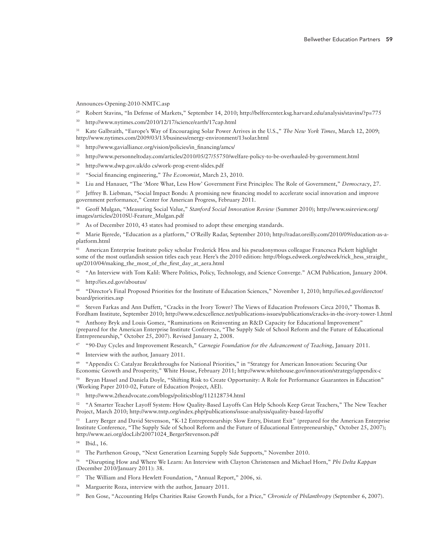Announces-Opening-2010-NMTC.asp

- <sup>29</sup> Robert Stavins, "In Defense of Markets," September 14, 2010; http://belfercenter.ksg.harvard.edu/analysis/stavins/?p=775
- <sup>30</sup> http://www.nytimes.com/2010/12/17/science/earth/17cap.html
- <sup>31</sup> Kate Galbraith, "Europe's Way of Encouraging Solar Power Arrives in the U.S.," *The New York Times*, March 12, 2009; http://www.nytimes.com/2009/03/13/business/energy-environment/13solar.html

<sup>32</sup> http://www.gavialliance.org/vision/policies/in\_financing/amcs/

- <sup>33</sup> http://www.personneltoday.com/articles/2010/05/27/55750/welfare-policy-to-be-overhauled-by-government.html
- <sup>34</sup> http://www.dwp.gov.uk/do cs/work-prog-event-slides.pdf
- <sup>35</sup> "Social financing engineering," *The Economist*, March 23, 2010.
- <sup>36</sup> Liu and Hanauer, "The 'More What, Less How' Government First Principles: The Role of Government," *Democracy*, 27.

<sup>37</sup> Jeffrey B. Liebman, "Social Impact Bonds: A promising new financing model to accelerate social innovation and improve government performance," Center for American Progress, February 2011.

<sup>38</sup> Geoff Mulgan, "Measuring Social Value," *Stanford Social Innovation Review* (Summer 2010); http://www.ssireview.org/ images/articles/2010SU-Feature\_Mulgan.pdf

<sup>39</sup> As of December 2010, 43 states had promised to adopt these emerging standards.

<sup>40</sup> Marie Bjerede, "Education as a platform," O'Reilly Radar, September 2010; http://radar.oreilly.com/2010/09/education-as-aplatform.html

<sup>41</sup> American Enterprise Institute policy scholar Frederick Hess and his pseudonymous colleague Francesca Pickett highlight some of the most outlandish session titles each year. Here's the 2010 edition: http://blogs.edweek.org/edweek/rick\_hess\_straight\_ up/2010/04/making\_the\_most\_of\_the\_first\_day\_at\_aera.html

<sup>42</sup> "An Interview with Tom Kalil: Where Politics, Policy, Technology, and Science Converge." ACM Publication, January 2004.

<sup>43</sup> http://ies.ed.gov/aboutus/

<sup>44</sup> "Director's Final Proposed Priorities for the Institute of Education Sciences," November 1, 2010; http://ies.ed.gov/director/ board/priorities.asp

<sup>45</sup> Steven Farkas and Ann Duffett, "Cracks in the Ivory Tower? The Views of Education Professors Circa 2010," Thomas B. Fordham Institute, September 2010; http://www.edexcellence.net/publications-issues/publications/cracks-in-the-ivory-tower-1.html

Anthony Bryk and Louis Gomez, "Ruminations on Reinventing an R&D Capacity for Educational Improvement" (prepared for the American Enterprise Institute Conference, "The Supply Side of School Reform and the Future of Educational Entrepreneurship," October 25, 2007). Revised January 2, 2008.

<sup>47</sup> "90-Day Cycles and Improvement Research," *Carnegie Foundation for the Advancement of Teaching*, January 2011.

<sup>48</sup> Interview with the author, January 2011.

<sup>49</sup> "Appendix C: Catalyze Breakthroughs for National Priorities," in "Strategy for American Innovation: Securing Our Economic Growth and Prosperity," White House, February 2011; http://www.whitehouse.gov/innovation/strategy/appendix-c

Bryan Hassel and Daniela Doyle, "Shifting Risk to Create Opportunity: A Role for Performance Guarantees in Education" (Working Paper 2010-02, Future of Education Project, AEI).

<sup>51</sup> http://www.2theadvocate.com/blogs/politicsblog/112128734.html

<sup>52</sup> "A Smarter Teacher Layoff System: How Quality-Based Layoffs Can Help Schools Keep Great Teachers," The New Teacher Project, March 2010; http://www.tntp.org/index.php/publications/issue-analysis/quality-based-layoffs/

53 Larry Berger and David Stevenson, "K-12 Entrepreneurship: Slow Entry, Distant Exit" (prepared for the American Enterprise Institute Conference, "The Supply Side of School Reform and the Future of Educational Entrepreneurship," October 25, 2007); http://www.aei.org/docLib/20071024\_BergerStevenson.pdf

<sup>55</sup> The Parthenon Group, "Next Generation Learning Supply Side Supports," November 2010.

<sup>56</sup> "Disrupting How and Where We Learn: An Interview with Clayton Christensen and Michael Horn," *Phi Delta Kappan* (December 2010/January 2011): 38.

- <sup>57</sup> The William and Flora Hewlett Foundation, "Annual Report," 2006, xi.
- Marguerite Roza, interview with the author, January 2011.
- <sup>59</sup> Ben Gose, "Accounting Helps Charities Raise Growth Funds, for a Price," *Chronicle of Philanthropy* (September 6, 2007).

<sup>54</sup> Ibid., 16.